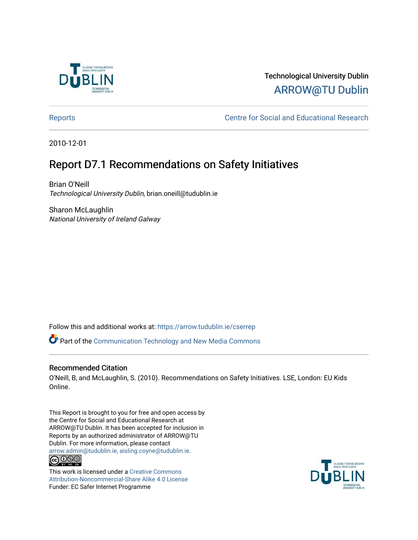

### Technological University Dublin [ARROW@TU Dublin](https://arrow.tudublin.ie/)

[Reports](https://arrow.tudublin.ie/cserrep) **Centre for Social and Educational Research** 

2010-12-01

### Report D7.1 Recommendations on Safety Initiatives

Brian O'Neill Technological University Dublin, brian.oneill@tudublin.ie

Sharon McLaughlin National University of Ireland Galway

Follow this and additional works at: [https://arrow.tudublin.ie/cserrep](https://arrow.tudublin.ie/cserrep?utm_source=arrow.tudublin.ie%2Fcserrep%2F18&utm_medium=PDF&utm_campaign=PDFCoverPages)

Part of the [Communication Technology and New Media Commons](http://network.bepress.com/hgg/discipline/327?utm_source=arrow.tudublin.ie%2Fcserrep%2F18&utm_medium=PDF&utm_campaign=PDFCoverPages) 

### Recommended Citation

O'Neill, B, and McLaughlin, S. (2010). Recommendations on Safety Initiatives. LSE, London: EU Kids Online.

This Report is brought to you for free and open access by the Centre for Social and Educational Research at ARROW@TU Dublin. It has been accepted for inclusion in Reports by an authorized administrator of ARROW@TU Dublin. For more information, please contact [arrow.admin@tudublin.ie, aisling.coyne@tudublin.ie](mailto:arrow.admin@tudublin.ie,%20aisling.coyne@tudublin.ie).  $\bigcirc$  000

This work is licensed under a [Creative Commons](http://creativecommons.org/licenses/by-nc-sa/4.0/) [Attribution-Noncommercial-Share Alike 4.0 License](http://creativecommons.org/licenses/by-nc-sa/4.0/) Funder: EC Safer Internet Programme

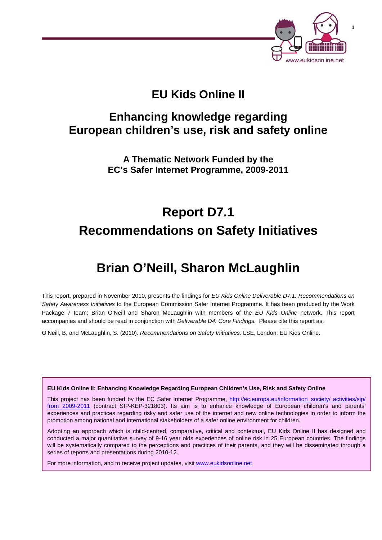

## **EU Kids Online II**

## **Enhancing knowledge regarding European children's use, risk and safety online**

**A Thematic Network Funded by the EC's Safer Internet Programme, 2009-2011** 

# **Report D7.1 Recommendations on Safety Initiatives**

## **Brian O'Neill, Sharon McLaughlin**

This report, prepared in November 2010, presents the findings for *EU Kids Online Deliverable D7.1: Recommendations on Safety Awareness Initiatives* to the European Commission Safer Internet Programme. It has been produced by the Work Package 7 team: Brian O'Neill and Sharon McLaughlin with members of the *EU Kids Online* network. This report accompanies and should be read in conjunction with *Deliverable D4: Core Findings.* Please cite this report as:

O'Neill, B, and McLaughlin, S. (2010). *Recommendations on Safety Initiatives.* LSE, London: EU Kids Online.

**EU Kids Online II: Enhancing Knowledge Regarding European Children's Use, Risk and Safety Online** 

This project has been funded by the EC Safer Internet Programme, http://ec.europa.eu/information\_society/ activities/sip/ from 2009-2011 (contract SIP-KEP-321803). Its aim is to enhance knowledge of European children's and parents' experiences and practices regarding risky and safer use of the internet and new online technologies in order to inform the promotion among national and international stakeholders of a safer online environment for children.

Adopting an approach which is child-centred, comparative, critical and contextual, EU Kids Online II has designed and conducted a major quantitative survey of 9-16 year olds experiences of online risk in 25 European countries. The findings will be systematically compared to the perceptions and practices of their parents, and they will be disseminated through a series of reports and presentations during 2010-12.

For more information, and to receive project updates, visit www.eukidsonline.net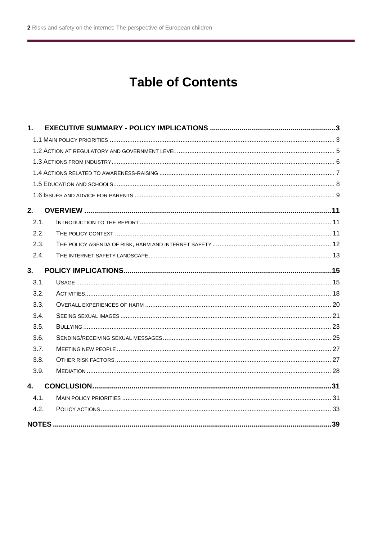## **Table of Contents**

| 1.   |  |
|------|--|
|      |  |
|      |  |
|      |  |
|      |  |
|      |  |
|      |  |
| 2.   |  |
| 2.1. |  |
| 2.2. |  |
| 2.3. |  |
| 2.4. |  |
| 3.   |  |
| 3.1. |  |
| 3.2. |  |
| 3.3. |  |
| 3.4. |  |
| 3.5. |  |
| 3.6. |  |
| 3.7. |  |
| 3.8. |  |
| 3.9. |  |
| 4.   |  |
| 4.1. |  |
| 4.2. |  |
|      |  |
|      |  |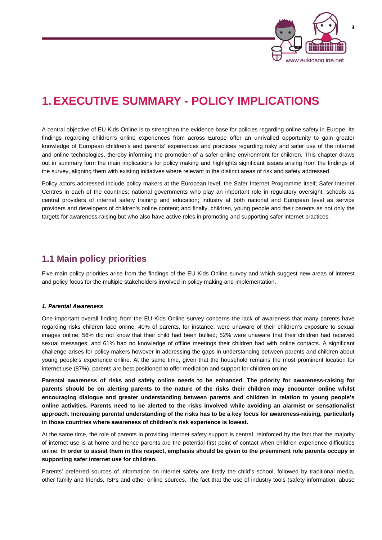

## **1. EXECUTIVE SUMMARY - POLICY IMPLICATIONS**

A central objective of EU Kids Online is to strengthen the evidence base for policies regarding online safety in Europe. Its findings regarding children's online experiences from across Europe offer an unrivalled opportunity to gain greater knowledge of European children's and parents' experiences and practices regarding risky and safer use of the internet and online technologies, thereby informing the promotion of a safer online environment for children. This chapter draws out in summary form the main implications for policy making and highlights significant issues arising from the findings of the survey, aligning them with existing initiatives where relevant in the distinct areas of risk and safety addressed.

Policy actors addressed include policy makers at the European level, the Safer Internet Programme itself; Safer Internet Centres in each of the countries; national governments who play an important role in regulatory oversight; schools as central providers of internet safety training and education; industry at both national and European level as service providers and developers of children's online content; and finally, children, young people and their parents as not only the targets for awareness-raising but who also have active roles in promoting and supporting safer internet practices.

### **1.1 Main policy priorities**

Five main policy priorities arise from the findings of the EU Kids Online survey and which suggest new areas of interest and policy focus for the multiple stakeholders involved in policy making and implementation.

### *1. Parental Awareness*

One important overall finding from the EU Kids Online survey concerns the lack of awareness that many parents have regarding risks children face online. 40% of parents, for instance, were unaware of their children's exposure to sexual images online; 56% did not know that their child had been bullied; 52% were unaware that their children had received sexual messages; and 61% had no knowledge of offline meetings their children had with online contacts. A significant challenge arises for policy makers however in addressing the gaps in understanding between parents and children about young people's experience online. At the same time, given that the household remains the most prominent location for internet use (87%), parents are best positioned to offer mediation and support for children online.

**Parental awareness of risks and safety online needs to be enhanced. The priority for awareness-raising for parents should be on alerting parents to the nature of the risks their children may encounter online whilst encouraging dialogue and greater understanding between parents and children in relation to young people's online activities. Parents need to be alerted to the risks involved while avoiding an alarmist or sensationalist approach. Increasing parental understanding of the risks has to be a key focus for awareness-raising, particularly in those countries where awareness of children's risk experience is lowest.** 

At the same time, the role of parents in providing internet safety support is central, reinforced by the fact that the majority of internet use is at home and hence parents are the potential first point of contact when children experience difficulties online. **In order to assist them in this respect, emphasis should be given to the preeminent role parents occupy in supporting safer internet use for children.** 

Parents' preferred sources of information on internet safety are firstly the child's school, followed by traditional media, other family and friends, ISPs and other online sources. The fact that the use of industry tools (safety information, abuse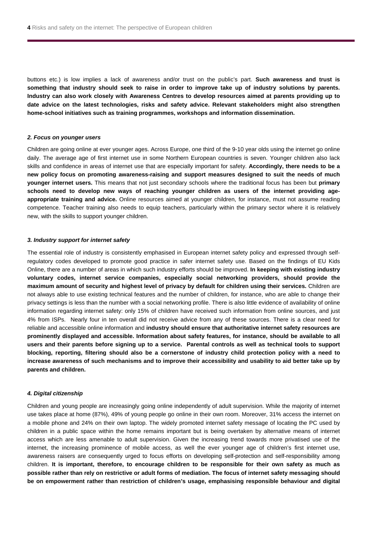buttons etc.) is low implies a lack of awareness and/or trust on the public's part. **Such awareness and trust is something that industry should seek to raise in order to improve take up of industry solutions by parents. Industry can also work closely with Awareness Centres to develop resources aimed at parents providing up to date advice on the latest technologies, risks and safety advice. Relevant stakeholders might also strengthen home-school initiatives such as training programmes, workshops and information dissemination.** 

#### *2. Focus on younger users*

Children are going online at ever younger ages. Across Europe, one third of the 9-10 year olds using the internet go online daily. The average age of first internet use in some Northern European countries is seven. Younger children also lack skills and confidence in areas of internet use that are especially important for safety. **Accordingly, there needs to be a new policy focus on promoting awareness-raising and support measures designed to suit the needs of much younger internet users.** This means that not just secondary schools where the traditional focus has been but **primary schools need to develop new ways of reaching younger children as users of the internet providing ageappropriate training and advice.** Online resources aimed at younger children, for instance, must not assume reading competence. Teacher training also needs to equip teachers, particularly within the primary sector where it is relatively new, with the skills to support younger children.

#### *3. Industry support for internet safety*

The essential role of industry is consistently emphasised in European internet safety policy and expressed through selfregulatory codes developed to promote good practice in safer internet safety use. Based on the findings of EU Kids Online, there are a number of areas in which such industry efforts should be improved. **In keeping with existing industry voluntary codes, internet service companies, especially social networking providers, should provide the maximum amount of security and highest level of privacy by default for children using their services.** Children are not always able to use existing technical features and the number of children, for instance, who are able to change their privacy settings is less than the number with a social networking profile. There is also little evidence of availability of online information regarding internet safety: only 15% of children have received such information from online sources, and just 4% from ISPs. Nearly four in ten overall did not receive advice from any of these sources. There is a clear need for reliable and accessible online information and **industry should ensure that authoritative internet safety resources are prominently displayed and accessible. Information about safety features, for instance, should be available to all users and their parents before signing up to a service. Parental controls as well as technical tools to support blocking, reporting, filtering should also be a cornerstone of industry child protection policy with a need to increase awareness of such mechanisms and to improve their accessibility and usability to aid better take up by parents and children.**

#### *4. Digital citizenship*

Children and young people are increasingly going online independently of adult supervision. While the majority of internet use takes place at home (87%), 49% of young people go online in their own room. Moreover, 31% access the internet on a mobile phone and 24% on their own laptop. The widely promoted internet safety message of locating the PC used by children in a public space within the home remains important but is being overtaken by alternative means of internet access which are less amenable to adult supervision. Given the increasing trend towards more privatised use of the internet, the increasing prominence of mobile access, as well the ever younger age of children's first internet use, awareness raisers are consequently urged to focus efforts on developing self-protection and self-responsibility among children. **It is important, therefore, to encourage children to be responsible for their own safety as much as possible rather than rely on restrictive or adult forms of mediation. The focus of internet safety messaging should be on empowerment rather than restriction of children's usage, emphasising responsible behaviour and digital**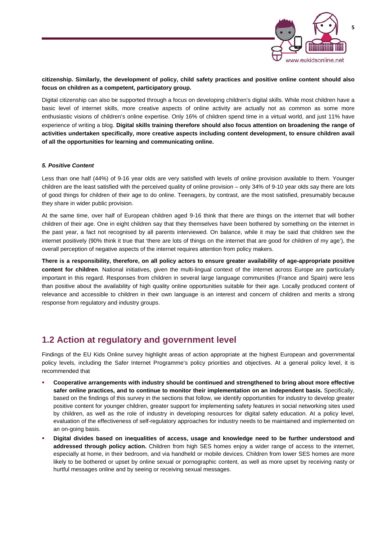

### **citizenship. Similarly, the development of policy, child safety practices and positive online content should also focus on children as a competent, participatory group.**

Digital citizenship can also be supported through a focus on developing children's digital skills. While most children have a basic level of internet skills, more creative aspects of online activity are actually not as common as some more enthusiastic visions of children's online expertise. Only 16% of children spend time in a virtual world, and just 11% have experience of writing a blog. **Digital skills training therefore should also focus attention on broadening the range of activities undertaken specifically, more creative aspects including content development, to ensure children avail of all the opportunities for learning and communicating online.** 

### *5. Positive Content*

Less than one half (44%) of 9-16 year olds are very satisfied with levels of online provision available to them. Younger children are the least satisfied with the perceived quality of online provision – only 34% of 9-10 year olds say there are lots of good things for children of their age to do online. Teenagers, by contrast, are the most satisfied, presumably because they share in wider public provision.

At the same time, over half of European children aged 9-16 think that there are things on the internet that will bother children of their age. One in eight children say that they themselves have been bothered by something on the internet in the past year, a fact not recognised by all parents interviewed. On balance, while it may be said that children see the internet positively (90% think it true that 'there are lots of things on the internet that are good for children of my age'), the overall perception of negative aspects of the internet requires attention from policy makers.

**There is a responsibility, therefore, on all policy actors to ensure greater availability of age-appropriate positive content for children**. National initiatives, given the multi-lingual context of the internet across Europe are particularly important in this regard. Responses from children in several large language communities (France and Spain) were less than positive about the availability of high quality online opportunities suitable for their age. Locally produced content of relevance and accessible to children in their own language is an interest and concern of children and merits a strong response from regulatory and industry groups.

### **1.2 Action at regulatory and government level**

Findings of the EU Kids Online survey highlight areas of action appropriate at the highest European and governmental policy levels, including the Safer Internet Programme's policy priorities and objectives. At a general policy level, it is recommended that

- **Cooperative arrangements with industry should be continued and strengthened to bring about more effective safer online practices, and to continue to monitor their implementation on an independent basis.** Specifically, based on the findings of this survey in the sections that follow, we identify opportunities for industry to develop greater positive content for younger children, greater support for implementing safety features in social networking sites used by children, as well as the role of industry in developing resources for digital safety education. At a policy level, evaluation of the effectiveness of self-regulatory approaches for industry needs to be maintained and implemented on an on-going basis.
- **Digital divides based on inequalities of access, usage and knowledge need to be further understood and addressed through policy action.** Children from high SES homes enjoy a wider range of access to the internet, especially at home, in their bedroom, and via handheld or mobile devices. Children from lower SES homes are more likely to be bothered or upset by online sexual or pornographic content, as well as more upset by receiving nasty or hurtful messages online and by seeing or receiving sexual messages.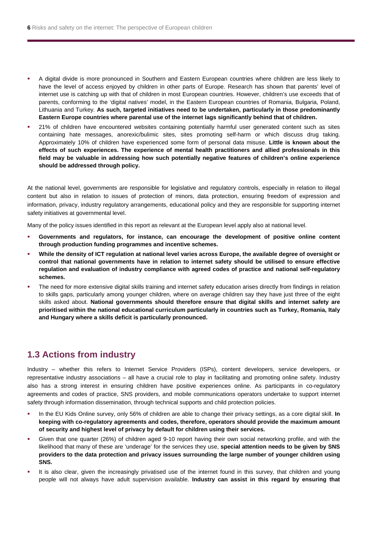- A digital divide is more pronounced in Southern and Eastern European countries where children are less likely to have the level of access enjoyed by children in other parts of Europe. Research has shown that parents' level of internet use is catching up with that of children in most European countries. However, children's use exceeds that of parents, conforming to the 'digital natives' model, in the Eastern European countries of Romania, Bulgaria, Poland, Lithuania and Turkey. **As such, targeted initiatives need to be undertaken, particularly in those predominantly Eastern Europe countries where parental use of the internet lags significantly behind that of children.**
- 21% of children have encountered websites containing potentially harmful user generated content such as sites containing hate messages, anorexic/bulimic sites, sites promoting self-harm or which discuss drug taking. Approximately 10% of children have experienced some form of personal data misuse. **Little is known about the effects of such experiences. The experience of mental health practitioners and allied professionals in this field may be valuable in addressing how such potentially negative features of children's online experience should be addressed through policy.**

At the national level, governments are responsible for legislative and regulatory controls, especially in relation to illegal content but also in relation to issues of protection of minors, data protection, ensuring freedom of expression and information, privacy, industry regulatory arrangements, educational policy and they are responsible for supporting internet safety initiatives at governmental level.

Many of the policy issues identified in this report as relevant at the European level apply also at national level.

- **Governments and regulators, for instance, can encourage the development of positive online content through production funding programmes and incentive schemes.**
- **While the density of ICT regulation at national level varies across Europe, the available degree of oversight or control that national governments have in relation to internet safety should be utilised to ensure effective regulation and evaluation of industry compliance with agreed codes of practice and national self-regulatory schemes.**
- The need for more extensive digital skills training and internet safety education arises directly from findings in relation to skills gaps, particularly among younger children, where on average children say they have just three of the eight skills asked about. **National governments should therefore ensure that digital skills and internet safety are prioritised within the national educational curriculum particularly in countries such as Turkey, Romania, Italy and Hungary where a skills deficit is particularly pronounced.**

### **1.3 Actions from industry**

Industry – whether this refers to Internet Service Providers (ISPs), content developers, service developers, or representative industry associations – all have a crucial role to play in facilitating and promoting online safety. Industry also has a strong interest in ensuring children have positive experiences online. As participants in co-regulatory agreements and codes of practice, SNS providers, and mobile communications operators undertake to support internet safety through information dissemination, through technical supports and child protection policies.

- In the EU Kids Online survey, only 56% of children are able to change their privacy settings, as a core digital skill. **In keeping with co-regulatory agreements and codes, therefore, operators should provide the maximum amount of security and highest level of privacy by default for children using their services.**
- Given that one quarter (26%) of children aged 9-10 report having their own social networking profile, and with the likelihood that many of these are 'underage' for the services they use, **special attention needs to be given by SNS providers to the data protection and privacy issues surrounding the large number of younger children using SNS.**
- It is also clear, given the increasingly privatised use of the internet found in this survey, that children and young people will not always have adult supervision available. **Industry can assist in this regard by ensuring that**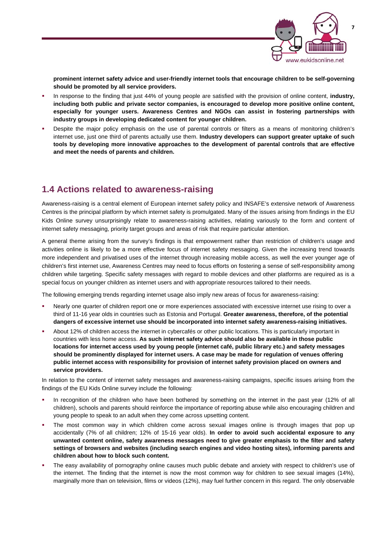

**prominent internet safety advice and user-friendly internet tools that encourage children to be self-governing should be promoted by all service providers.** 

- In response to the finding that just 44% of young people are satisfied with the provision of online content, **industry, including both public and private sector companies, is encouraged to develop more positive online content, especially for younger users. Awareness Centres and NGOs can assist in fostering partnerships with industry groups in developing dedicated content for younger children.**
- Despite the major policy emphasis on the use of parental controls or filters as a means of monitoring children's internet use, just one third of parents actually use them. **Industry developers can support greater uptake of such tools by developing more innovative approaches to the development of parental controls that are effective and meet the needs of parents and children.**

### **1.4 Actions related to awareness-raising**

Awareness-raising is a central element of European internet safety policy and INSAFE's extensive network of Awareness Centres is the principal platform by which internet safety is promulgated. Many of the issues arising from findings in the EU Kids Online survey unsurprisingly relate to awareness-raising activities, relating variously to the form and content of internet safety messaging, priority target groups and areas of risk that require particular attention.

A general theme arising from the survey's findings is that empowerment rather than restriction of children's usage and activities online is likely to be a more effective focus of internet safety messaging. Given the increasing trend towards more independent and privatised uses of the internet through increasing mobile access, as well the ever younger age of children's first internet use, Awareness Centres may need to focus efforts on fostering a sense of self-responsibility among children while targeting. Specific safety messages with regard to mobile devices and other platforms are required as is a special focus on younger children as internet users and with appropriate resources tailored to their needs.

The following emerging trends regarding internet usage also imply new areas of focus for awareness-raising:

- Nearly one quarter of children report one or more experiences associated with excessive internet use rising to over a third of 11-16 year olds in countries such as Estonia and Portugal. **Greater awareness, therefore, of the potential dangers of excessive internet use should be incorporated into internet safety awareness-raising initiatives.**
- About 12% of children access the internet in cybercafés or other public locations. This is particularly important in countries with less home access. **As such internet safety advice should also be available in those public locations for internet access used by young people (internet café, public library etc.) and safety messages should be prominently displayed for internet users. A case may be made for regulation of venues offering public internet access with responsibility for provision of internet safety provision placed on owners and service providers.**

In relation to the content of internet safety messages and awareness-raising campaigns, specific issues arising from the findings of the EU Kids Online survey include the following:

- In recognition of the children who have been bothered by something on the internet in the past year (12% of all children), schools and parents should reinforce the importance of reporting abuse while also encouraging children and young people to speak to an adult when they come across upsetting content.
- The most common way in which children come across sexual images online is through images that pop up accidentally (7% of all children; 12% of 15-16 year olds). **In order to avoid such accidental exposure to any unwanted content online, safety awareness messages need to give greater emphasis to the filter and safety settings of browsers and websites (including search engines and video hosting sites), informing parents and children about how to block such content.**
- The easy availability of pornography online causes much public debate and anxiety with respect to children's use of the internet. The finding that the internet is now the most common way for children to see sexual images (14%), marginally more than on television, films or videos (12%), may fuel further concern in this regard. The only observable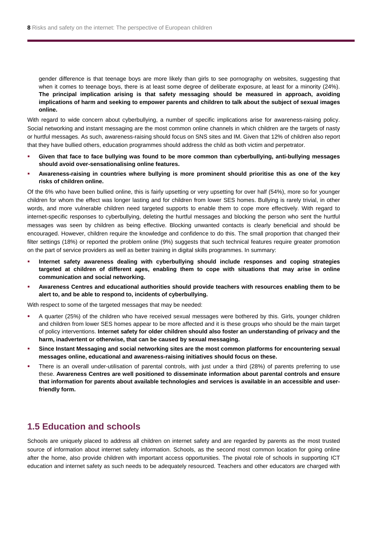gender difference is that teenage boys are more likely than girls to see pornography on websites, suggesting that when it comes to teenage boys, there is at least some degree of deliberate exposure, at least for a minority (24%). **The principal implication arising is that safety messaging should be measured in approach, avoiding implications of harm and seeking to empower parents and children to talk about the subject of sexual images online.** 

With regard to wide concern about cyberbullying, a number of specific implications arise for awareness-raising policy. Social networking and instant messaging are the most common online channels in which children are the targets of nasty or hurtful messages. As such, awareness-raising should focus on SNS sites and IM. Given that 12% of children also report that they have bullied others, education programmes should address the child as both victim and perpetrator.

- **Given that face to face bullying was found to be more common than cyberbullying, anti-bullying messages should avoid over-sensationalising online features.**
- **Awareness-raising in countries where bullying is more prominent should prioritise this as one of the key risks of children online.**

Of the 6% who have been bullied online, this is fairly upsetting or very upsetting for over half (54%), more so for younger children for whom the effect was longer lasting and for children from lower SES homes. Bullying is rarely trivial, in other words, and more vulnerable children need targeted supports to enable them to cope more effectively. With regard to internet-specific responses to cyberbullying, deleting the hurtful messages and blocking the person who sent the hurtful messages was seen by children as being effective. Blocking unwanted contacts is clearly beneficial and should be encouraged. However, children require the knowledge and confidence to do this. The small proportion that changed their filter settings (18%) or reported the problem online (9%) suggests that such technical features require greater promotion on the part of service providers as well as better training in digital skills programmes. In summary:

- **Internet safety awareness dealing with cyberbullying should include responses and coping strategies targeted at children of different ages, enabling them to cope with situations that may arise in online communication and social networking.**
- **Awareness Centres and educational authorities should provide teachers with resources enabling them to be alert to, and be able to respond to, incidents of cyberbullying.**

With respect to some of the targeted messages that may be needed:

- A quarter (25%) of the children who have received sexual messages were bothered by this. Girls, younger children and children from lower SES homes appear to be more affected and it is these groups who should be the main target of policy interventions. **Internet safety for older children should also foster an understanding of privacy and the harm, inadvertent or otherwise, that can be caused by sexual messaging.**
- **Since Instant Messaging and social networking sites are the most common platforms for encountering sexual messages online, educational and awareness-raising initiatives should focus on these.**
- There is an overall under-utilisation of parental controls, with just under a third (28%) of parents preferring to use these. **Awareness Centres are well positioned to disseminate information about parental controls and ensure that information for parents about available technologies and services is available in an accessible and userfriendly form.**

### **1.5 Education and schools**

Schools are uniquely placed to address all children on internet safety and are regarded by parents as the most trusted source of information about internet safety information. Schools, as the second most common location for going online after the home, also provide children with important access opportunities. The pivotal role of schools in supporting ICT education and internet safety as such needs to be adequately resourced. Teachers and other educators are charged with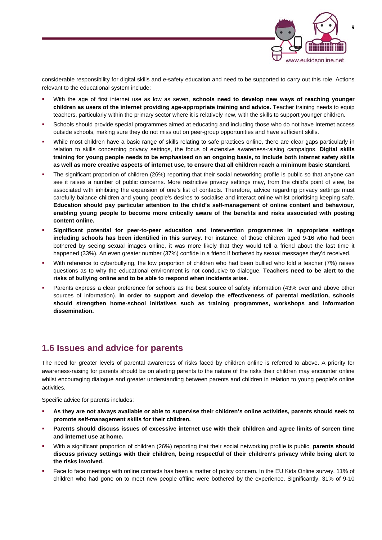

considerable responsibility for digital skills and e-safety education and need to be supported to carry out this role. Actions relevant to the educational system include:

- With the age of first internet use as low as seven, **schools need to develop new ways of reaching younger children as users of the internet providing age-appropriate training and advice.** Teacher training needs to equip teachers, particularly within the primary sector where it is relatively new, with the skills to support younger children.
- Schools should provide special programmes aimed at educating and including those who do not have Internet access outside schools, making sure they do not miss out on peer-group opportunities and have sufficient skills.
- While most children have a basic range of skills relating to safe practices online, there are clear gaps particularly in relation to skills concerning privacy settings, the focus of extensive awareness-raising campaigns. **Digital skills training for young people needs to be emphasised on an ongoing basis, to include both internet safety skills as well as more creative aspects of internet use, to ensure that all children reach a minimum basic standard.**
- The significant proportion of children (26%) reporting that their social networking profile is public so that anyone can see it raises a number of public concerns. More restrictive privacy settings may, from the child's point of view, be associated with inhibiting the expansion of one's list of contacts. Therefore, advice regarding privacy settings must carefully balance children and young people's desires to socialise and interact online whilst prioritising keeping safe. **Education should pay particular attention to the child's self-management of online content and behaviour, enabling young people to become more critically aware of the benefits and risks associated with posting content online.**
- **Significant potential for peer-to-peer education and intervention programmes in appropriate settings including schools has been identified in this survey.** For instance, of those children aged 9-16 who had been bothered by seeing sexual images online, it was more likely that they would tell a friend about the last time it happened (33%). An even greater number (37%) confide in a friend if bothered by sexual messages they'd received.
- With reference to cyberbullying, the low proportion of children who had been bullied who told a teacher (7%) raises questions as to why the educational environment is not conducive to dialogue. **Teachers need to be alert to the risks of bullying online and to be able to respond when incidents arise.**
- Parents express a clear preference for schools as the best source of safety information (43% over and above other sources of information). **In order to support and develop the effectiveness of parental mediation, schools should strengthen home-school initiatives such as training programmes, workshops and information dissemination.**

### **1.6 Issues and advice for parents**

The need for greater levels of parental awareness of risks faced by children online is referred to above. A priority for awareness-raising for parents should be on alerting parents to the nature of the risks their children may encounter online whilst encouraging dialogue and greater understanding between parents and children in relation to young people's online activities.

Specific advice for parents includes:

- **As they are not always available or able to supervise their children's online activities, parents should seek to promote self-management skills for their children.**
- **Parents should discuss issues of excessive internet use with their children and agree limits of screen time and internet use at home.**
- With a significant proportion of children (26%) reporting that their social networking profile is public, **parents should discuss privacy settings with their children, being respectful of their children's privacy while being alert to the risks involved.**
- Face to face meetings with online contacts has been a matter of policy concern. In the EU Kids Online survey, 11% of children who had gone on to meet new people offline were bothered by the experience. Significantly, 31% of 9-10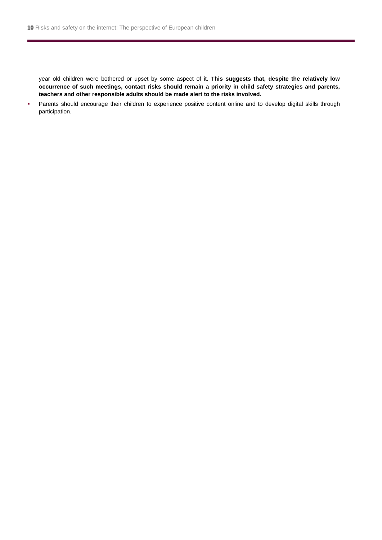year old children were bothered or upset by some aspect of it. **This suggests that, despite the relatively low occurrence of such meetings, contact risks should remain a priority in child safety strategies and parents, teachers and other responsible adults should be made alert to the risks involved.** 

**Parents should encourage their children to experience positive content online and to develop digital skills through** participation.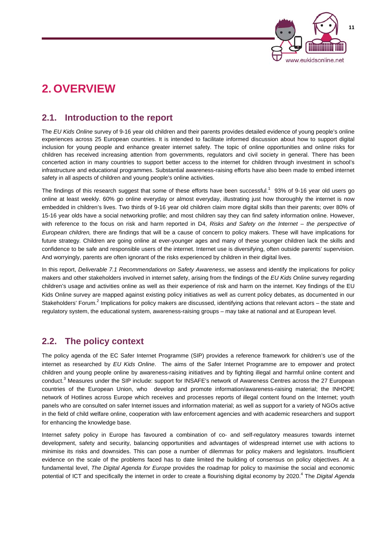

## **2. OVERVIEW**

### **2.1. Introduction to the report**

The *EU Kids Online* survey of 9-16 year old children and their parents provides detailed evidence of young people's online experiences across 25 European countries. It is intended to facilitate informed discussion about how to support digital inclusion for young people and enhance greater internet safety. The topic of online opportunities and online risks for children has received increasing attention from governments, regulators and civil society in general. There has been concerted action in many countries to support better access to the internet for children through investment in school's infrastructure and educational programmes. Substantial awareness-raising efforts have also been made to embed internet safety in all aspects of children and young people's online activities.

The findings of this research suggest that some of these efforts have been successful.<sup>1</sup> 93% of 9-16 year old users go online at least weekly. 60% go online everyday or almost everyday, illustrating just how thoroughly the internet is now embedded in children's lives. Two thirds of 9-16 year old children claim more digital skills than their parents; over 80% of 15-16 year olds have a social networking profile; and most children say they can find safety information online. However, with reference to the focus on risk and harm reported in D4, *Risks and Safety on the Internet – the perspective of European children,* there are findings that will be a cause of concern to policy makers. These will have implications for future strategy. Children are going online at ever-younger ages and many of these younger children lack the skills and confidence to be safe and responsible users of the internet. Internet use is diversifying, often outside parents' supervision. And worryingly, parents are often ignorant of the risks experienced by children in their digital lives.

In this report, *Deliverable 7.1 Recommendations on Safety Awareness*, we assess and identify the implications for policy makers and other stakeholders involved in internet safety, arising from the findings of the *EU Kids Online* survey regarding children's usage and activities online as well as their experience of risk and harm on the internet. Key findings of the EU Kids Online survey are mapped against existing policy initiatives as well as current policy debates, as documented in our Stakeholders' Forum.<sup>2</sup> Implications for policy makers are discussed, identifying actions that relevant actors – the state and regulatory system, the educational system, awareness-raising groups – may take at national and at European level.

### **2.2. The policy context**

The policy agenda of the EC Safer Internet Programme (SIP) provides a reference framework for children's use of the internet as researched by *EU Kids Online*.The aims of the Safer Internet Programme are to empower and protect children and young people online by awareness-raising initiatives and by fighting illegal and harmful online content and conduct.<sup>3</sup> Measures under the SIP include: support for INSAFE's network of Awareness Centres across the 27 European countries of the European Union, who develop and promote information/awareness-raising material; the INHOPE network of Hotlines across Europe which receives and processes reports of illegal content found on the Internet; youth panels who are consulted on safer Internet issues and information material; as well as support for a variety of NGOs active in the field of child welfare online, cooperation with law enforcement agencies and with academic researchers and support for enhancing the knowledge base.

Internet safety policy in Europe has favoured a combination of co- and self-regulatory measures towards internet development, safety and security, balancing opportunities and advantages of widespread internet use with actions to minimise its risks and downsides. This can pose a number of dilemmas for policy makers and legislators. Insufficient evidence on the scale of the problems faced has to date limited the building of consensus on policy objectives. At a fundamental level, *The Digital Agenda for Europe* provides the roadmap for policy to maximise the social and economic potential of ICT and specifically the internet in order to create a flourishing digital economy by 2020.<sup>4</sup> The *Digital Agenda*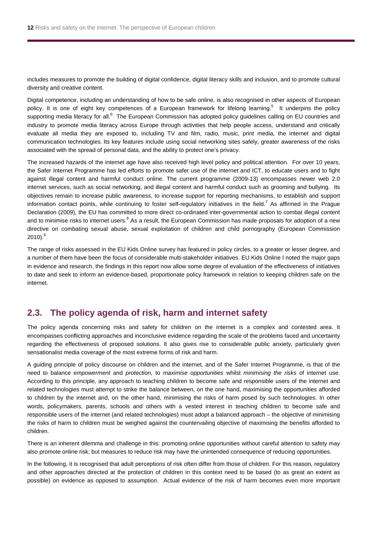includes measures to promote the building of digital confidence, digital literacy skills and inclusion, and to promote cultural diversity and creative content.

Digital competence, including an understanding of how to be safe online, is also recognised in other aspects of European policy. It is one of eight key competences of a European framework for lifelong learning.<sup>5</sup> It underpins the policy supporting media literacy for all.<sup>6</sup> The European Commission has adopted policy guidelines calling on EU countries and industry to promote media literacy across Europe through activities that help people access, understand and critically evaluate all media they are exposed to, including TV and film, radio, music, print media, the internet and digital communication technologies. Its key features include using social networking sites safely, greater awareness of the risks associated with the spread of personal data, and the ability to protect one's privacy.

The increased hazards of the internet age have also received high level policy and political attention. For over 10 years, the Safer Internet Programme has led efforts to promote safer use of the internet and ICT, to educate users and to fight against illegal content and harmful conduct online. The current programme (2009-13) encompasses newer web 2.0 internet services, such as social networking, and illegal content and harmful conduct such as grooming and bullying. Its objectives remain to increase public awareness, to increase support for reporting mechanisms, to establish and support information contact points, while continuing to foster self-regulatory initiatives in the field.<sup>7</sup> As affirmed in the Prague Declaration (2009), the EU has committed to more direct co-ordinated inter-governmental action to combat illegal content and to minimise risks to internet users.<sup>8</sup> As a result, the European Commission has made proposals for adoption of a new directive on combating sexual abuse, sexual exploitation of children and child pornography (European Commission 2010). $^9$ 

The range of risks assessed in the EU Kids Online survey has featured in policy circles, to a greater or lesser degree, and a number of them have been the focus of considerable multi-stakeholder initiatives. EU Kids Online I noted the major gaps in evidence and research, the findings in this report now allow some degree of evaluation of the effectiveness of initiatives to date and seek to inform an evidence-based, proportionate policy framework in relation to keeping children safe on the internet.

### **2.3. The policy agenda of risk, harm and internet safety**

The policy agenda concerning risks and safety for children on the internet is a complex and contested area. It encompasses conflicting approaches and inconclusive evidence regarding the scale of the problems faced and uncertainty regarding the effectiveness of proposed solutions. It also gives rise to considerable public anxiety, particularly given sensationalist media coverage of the most extreme forms of risk and harm.

A guiding principle of policy discourse on children and the internet, and of the Safer Internet Programme, is that of the need to balance *empowerment* and *protection,* to *maximise opportunities* whilst *minimising the risks* of internet use. According to this principle, any approach to teaching children to become safe and responsible users of the internet and related technologies must attempt to strike the balance between, on the one hand, maximising the opportunities afforded to children by the internet and, on the other hand, minimising the risks of harm posed by such technologies. In other words, policymakers, parents, schools and others with a vested interest in teaching children to become safe and responsible users of the internet (and related technologies) must adopt a balanced approach – the objective of minimising the risks of harm to children must be weighed against the countervailing objective of maximising the benefits afforded to children.

There is an inherent dilemma and challenge in this: promoting online opportunities without careful attention to safety may also promote online risk; but measures to reduce risk may have the unintended consequence of reducing opportunities.

In the following, it is recognised that adult perceptions of risk often differ from those of children. For this reason, regulatory and other approaches directed at the protection of children in this context need to be based (to as great an extent as possible) on evidence as opposed to assumption. Actual evidence of the risk of harm becomes even more important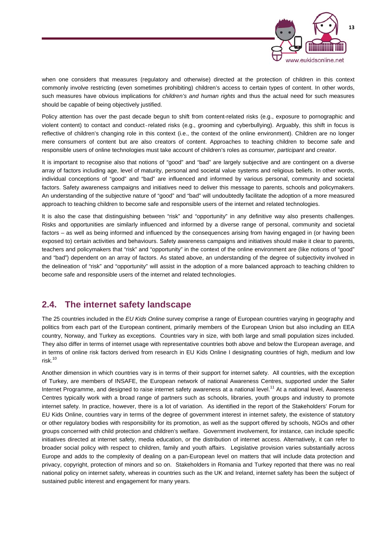

when one considers that measures (regulatory and otherwise) directed at the protection of children in this context commonly involve restricting (even sometimes prohibiting) children's access to certain types of content. In other words, such measures have obvious implications for *children's and human rights* and thus the actual need for such measures should be capable of being objectively justified.

Policy attention has over the past decade begun to shift from content-related risks (e.g., exposure to pornographic and violent content) to contact and conduct-related risks (e.g., grooming and cyberbullying). Arguably, this shift in focus is reflective of children's changing role in this context (i.e., the context of the online environment). Children are no longer mere consumers of content but are also creators of content. Approaches to teaching children to become safe and responsible users of online technologies must take account of children's roles as *consumer, participant* and *creator*.

It is important to recognise also that notions of "good" and "bad" are largely subjective and are contingent on a diverse array of factors including age, level of maturity, personal and societal value systems and religious beliefs. In other words, individual conceptions of "good" and "bad" are influenced and informed by various personal, community and societal factors. Safety awareness campaigns and initiatives need to deliver this message to parents, schools and policymakers. An understanding of the subjective nature of "good" and "bad" will undoubtedly facilitate the adoption of a more measured approach to teaching children to become safe and responsible users of the internet and related technologies.

It is also the case that distinguishing between "risk" and "opportunity" in any definitive way also presents challenges. Risks and opportunities are similarly influenced and informed by a diverse range of personal, community and societal factors – as well as being informed and influenced by the consequences arising from having engaged in (or having been exposed to) certain activities and behaviours. Safety awareness campaigns and initiatives should make it clear to parents, teachers and policymakers that "risk" and "opportunity" in the context of the online environment are (like notions of "good" and "bad") dependent on an array of factors. As stated above, an understanding of the degree of subjectivity involved in the delineation of "risk" and "opportunity" will assist in the adoption of a more balanced approach to teaching children to become safe and responsible users of the internet and related technologies.

### **2.4. The internet safety landscape**

The 25 countries included in the *EU Kids Online* survey comprise a range of European countries varying in geography and politics from each part of the European continent, primarily members of the European Union but also including an EEA country, Norway, and Turkey as exceptions. Countries vary in size, with both large and small population sizes included. They also differ in terms of internet usage with representative countries both above and below the European average, and in terms of online risk factors derived from research in EU Kids Online I designating countries of high, medium and low risk.10

Another dimension in which countries vary is in terms of their support for internet safety. All countries, with the exception of Turkey, are members of INSAFE, the European network of national Awareness Centres, supported under the Safer Internet Programme, and designed to raise internet safety awareness at a national level.<sup>11</sup> At a national level, Awareness Centres typically work with a broad range of partners such as schools, libraries, youth groups and industry to promote internet safety. In practice, however, there is a lot of variation. As identified in the report of the Stakeholders' Forum for EU Kids Online, countries vary in terms of the degree of government interest in internet safety, the existence of statutory or other regulatory bodies with responsibility for its promotion, as well as the support offered by schools, NGOs and other groups concerned with child protection and children's welfare. Government involvement, for instance, can include specific initiatives directed at internet safety, media education, or the distribution of internet access. Alternatively, it can refer to broader social policy with respect to children, family and youth affairs. Legislative provision varies substantially across Europe and adds to the complexity of dealing on a pan-European level on matters that will include data protection and privacy, copyright, protection of minors and so on. Stakeholders in Romania and Turkey reported that there was no real national policy on internet safety, whereas in countries such as the UK and Ireland, internet safety has been the subject of sustained public interest and engagement for many years.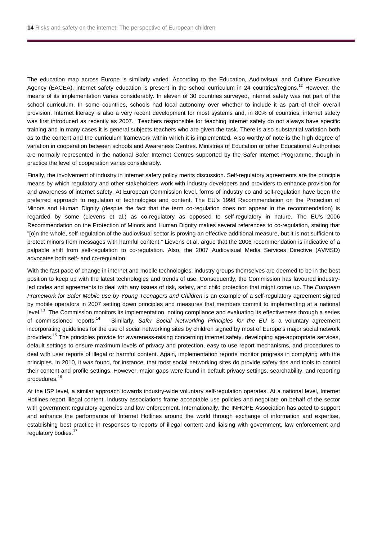The education map across Europe is similarly varied. According to the Education, Audiovisual and Culture Executive Agency (EACEA), internet safety education is present in the school curriculum in 24 countries/regions.<sup>12</sup> However, the means of its implementation varies considerably. In eleven of 30 countries surveyed, internet safety was not part of the school curriculum. In some countries, schools had local autonomy over whether to include it as part of their overall provision. Internet literacy is also a very recent development for most systems and, in 80% of countries, internet safety was first introduced as recently as 2007. Teachers responsible for teaching internet safety do not always have specific training and in many cases it is general subjects teachers who are given the task. There is also substantial variation both as to the content and the curriculum framework within which it is implemented. Also worthy of note is the high degree of variation in cooperation between schools and Awareness Centres. Ministries of Education or other Educational Authorities are normally represented in the national Safer Internet Centres supported by the Safer Internet Programme, though in practice the level of cooperation varies considerably.

Finally, the involvement of industry in internet safety policy merits discussion. Self-regulatory agreements are the principle means by which regulatory and other stakeholders work with industry developers and providers to enhance provision for and awareness of internet safety. At European Commission level, forms of industry co and self-regulation have been the preferred approach to regulation of technologies and content. The EU's 1998 Recommendation on the Protection of Minors and Human Dignity (despite the fact that the term co-regulation does not appear in the recommendation) is regarded by some (Lievens et al.) as co-regulatory as opposed to self-regulatory in nature. The EU's 2006 Recommendation on the Protection of Minors and Human Dignity makes several references to co-regulation, stating that "[o]n the whole, self-regulation of the audiovisual sector is proving an effective additional measure, but it is not sufficient to protect minors from messages with harmful content." Lievens et al. argue that the 2006 recommendation is indicative of a palpable shift from self-regulation to co-regulation. Also, the 2007 Audiovisual Media Services Directive (AVMSD) advocates both self- and co-regulation.

With the fast pace of change in internet and mobile technologies, industry groups themselves are deemed to be in the best position to keep up with the latest technologies and trends of use. Consequently, the Commission has favoured industryled codes and agreements to deal with any issues of risk, safety, and child protection that might come up. The *European Framework for Safer Mobile use by Young Teenagers and Children* is an example of a self-regulatory agreement signed by mobile operators in 2007 setting down principles and measures that members commit to implementing at a national level.<sup>13</sup> The Commission monitors its implementation, noting compliance and evaluating its effectiveness through a series of commissioned reports.14 Similarly, *Safer Social Networking Principles for the EU* is a voluntary agreement incorporating guidelines for the use of social networking sites by children signed by most of Europe's major social network providers.<sup>15</sup> The principles provide for awareness-raising concerning internet safety, developing age-appropriate services, default settings to ensure maximum levels of privacy and protection, easy to use report mechanisms, and procedures to deal with user reports of illegal or harmful content. Again, implementation reports monitor progress in complying with the principles. In 2010, it was found, for instance, that most social networking sites do provide safety tips and tools to control their content and profile settings. However, major gaps were found in default privacy settings, searchability, and reporting procedures.16

At the ISP level, a similar approach towards industry-wide voluntary self-regulation operates. At a national level, Internet Hotlines report illegal content. Industry associations frame acceptable use policies and negotiate on behalf of the sector with government regulatory agencies and law enforcement. Internationally, the INHOPE Association has acted to support and enhance the performance of Internet Hotlines around the world through exchange of information and expertise, establishing best practice in responses to reports of illegal content and liaising with government, law enforcement and regulatory bodies.<sup>17</sup>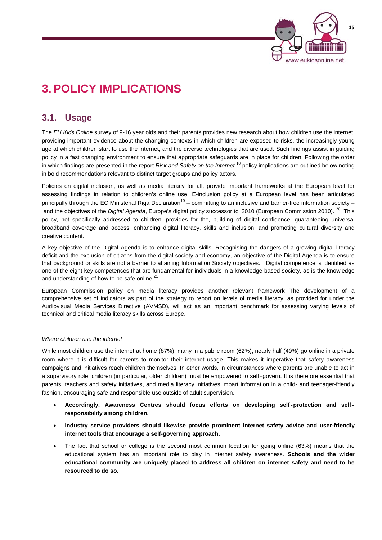

## **3. POLICY IMPLICATIONS**

### **3.1. Usage**

The *EU Kids Online* survey of 9-16 year olds and their parents provides new research about how children use the internet, providing important evidence about the changing contexts in which children are exposed to risks, the increasingly young age at which children start to use the internet, and the diverse technologies that are used. Such findings assist in guiding policy in a fast changing environment to ensure that appropriate safeguards are in place for children. Following the order in which findings are presented in the report *Risk and Safety on the Internet,*18 policy implications are outlined below noting in bold recommendations relevant to distinct target groups and policy actors.

Policies on digital inclusion, as well as media literacy for all, provide important frameworks at the European level for assessing findings in relation to children's online use. E-inclusion policy at a European level has been articulated principally through the EC Ministerial Riga Declaration<sup>19</sup> – committing to an inclusive and barrier-free information society – and the objectives of the *Digital Agenda*, Europe's digital policy successor to i2010 (European Commission 2010). 20 This policy, not specifically addressed to children, provides for the, building of digital confidence, guaranteeing universal broadband coverage and access, enhancing digital literacy, skills and inclusion, and promoting cultural diversity and creative content.

A key objective of the Digital Agenda is to enhance digital skills. Recognising the dangers of a growing digital literacy deficit and the exclusion of citizens from the digital society and economy, an objective of the Digital Agenda is to ensure that background or skills are not a barrier to attaining Information Society objectives. Digital competence is identified as one of the eight key competences that are fundamental for individuals in a knowledge-based society, as is the knowledge and understanding of how to be safe online. $21$ 

European Commission policy on media literacy provides another relevant framework The development of a comprehensive set of indicators as part of the strategy to report on levels of media literacy, as provided for under the Audiovisual Media Services Directive (AVMSD), will act as an important benchmark for assessing varying levels of technical and critical media literacy skills across Europe.

### *Where children use the internet*

While most children use the internet at home (87%), many in a public room (62%), nearly half (49%) go online in a private room where it is difficult for parents to monitor their internet usage. This makes it imperative that safety awareness campaigns and initiatives reach children themselves. In other words, in circumstances where parents are unable to act in a supervisory role, children (in particular, older children) must be empowered to self-govern. It is therefore essential that parents, teachers and safety initiatives, and media literacy initiatives impart information in a child- and teenager-friendly fashion, encouraging safe and responsible use outside of adult supervision.

- **Accordingly, Awareness Centres should focus efforts on developing self-protection and selfresponsibility among children.**
- **Industry service providers should likewise provide prominent internet safety advice and user-friendly internet tools that encourage a self-governing approach.**
- The fact that school or college is the second most common location for going online (63%) means that the educational system has an important role to play in internet safety awareness. **Schools and the wider educational community are uniquely placed to address all children on internet safety and need to be resourced to do so.**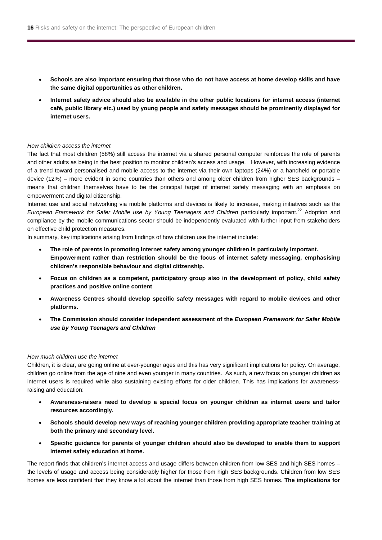- **Schools are also important ensuring that those who do not have access at home develop skills and have the same digital opportunities as other children.**
- **Internet safety advice should also be available in the other public locations for internet access (internet café, public library etc.) used by young people and safety messages should be prominently displayed for internet users.**

### *How children access the internet*

The fact that most children (58%) still access the internet via a shared personal computer reinforces the role of parents and other adults as being in the best position to monitor children's access and usage. However, with increasing evidence of a trend toward personalised and mobile access to the internet via their own laptops (24%) or a handheld or portable device (12%) – more evident in some countries than others and among older children from higher SES backgrounds – means that children themselves have to be the principal target of internet safety messaging with an emphasis on empowerment and digital citizenship.

Internet use and social networking via mobile platforms and devices is likely to increase, making initiatives such as the *European Framework for Safer Mobile use by Young Teenagers and Children particularly important.<sup>22</sup> Adoption and* compliance by the mobile communications sector should be independently evaluated with further input from stakeholders on effective child protection measures.

In summary, key implications arising from findings of how children use the internet include:

- **The role of parents in promoting internet safety among younger children is particularly important. Empowerment rather than restriction should be the focus of internet safety messaging, emphasising children's responsible behaviour and digital citizenship.**
- **Focus on children as a competent, participatory group also in the development of policy, child safety practices and positive online content**
- **Awareness Centres should develop specific safety messages with regard to mobile devices and other platforms.**
- **The Commission should consider independent assessment of the** *European Framework for Safer Mobile use by Young Teenagers and Children*

#### *How much children use the internet*

Children, it is clear, are going online at ever-younger ages and this has very significant implications for policy. On average, children go online from the age of nine and even younger in many countries. As such, a new focus on younger children as internet users is required while also sustaining existing efforts for older children. This has implications for awarenessraising and education:

- **Awareness-raisers need to develop a special focus on younger children as internet users and tailor resources accordingly.**
- **Schools should develop new ways of reaching younger children providing appropriate teacher training at both the primary and secondary level.**
- **Specific guidance for parents of younger children should also be developed to enable them to support internet safety education at home.**

The report finds that children's internet access and usage differs between children from low SES and high SES homes – the levels of usage and access being considerably higher for those from high SES backgrounds. Children from low SES homes are less confident that they know a lot about the internet than those from high SES homes. **The implications for**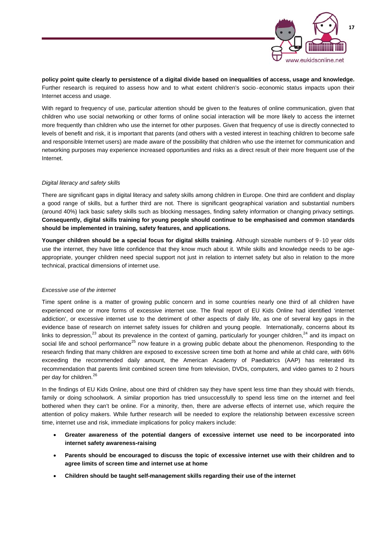

**policy point quite clearly to persistence of a digital divide based on inequalities of access, usage and knowledge.** Further research is required to assess how and to what extent children's socio-economic status impacts upon their Internet access and usage.

With regard to frequency of use, particular attention should be given to the features of online communication, given that children who use social networking or other forms of online social interaction will be more likely to access the internet more frequently than children who use the internet for other purposes. Given that frequency of use is directly connected to levels of benefit and risk, it is important that parents (and others with a vested interest in teaching children to become safe and responsible Internet users) are made aware of the possibility that children who use the internet for communication and networking purposes may experience increased opportunities and risks as a direct result of their more frequent use of the Internet.

### *Digital literacy and safety skills*

There are significant gaps in digital literacy and safety skills among children in Europe. One third are confident and display a good range of skills, but a further third are not. There is significant geographical variation and substantial numbers (around 40%) lack basic safety skills such as blocking messages, finding safety information or changing privacy settings. **Consequently, digital skills training for young people should continue to be emphasised and common standards should be implemented in training, safety features, and applications.**

**Younger children should be a special focus for digital skills training**. Although sizeable numbers of 9-10 year olds use the internet, they have little confidence that they know much about it. While skills and knowledge needs to be ageappropriate, younger children need special support not just in relation to internet safety but also in relation to the more technical, practical dimensions of internet use.

#### *Excessive use of the internet*

Time spent online is a matter of growing public concern and in some countries nearly one third of all children have experienced one or more forms of excessive internet use. The final report of EU Kids Online had identified 'internet addiction', or excessive internet use to the detriment of other aspects of daily life, as one of several key gaps in the evidence base of research on internet safety issues for children and young people. Internationally, concerns about its links to depression,<sup>23</sup> about its prevalence in the context of gaming, particularly for younger children,<sup>24</sup> and its impact on social life and school performance<sup>25</sup> now feature in a growing public debate about the phenomenon. Responding to the research finding that many children are exposed to excessive screen time both at home and while at child care, with 66% exceeding the recommended daily amount, the American Academy of Paediatrics (AAP) has reiterated its recommendation that parents limit combined screen time from television, DVDs, computers, and video games to 2 hours per day for children.<sup>26</sup>

In the findings of EU Kids Online, about one third of children say they have spent less time than they should with friends, family or doing schoolwork. A similar proportion has tried unsuccessfully to spend less time on the internet and feel bothered when they can't be online. For a minority, then, there are adverse effects of internet use, which require the attention of policy makers. While further research will be needed to explore the relationship between excessive screen time, internet use and risk, immediate implications for policy makers include:

- **Greater awareness of the potential dangers of excessive internet use need to be incorporated into internet safety awareness-raising**
- **Parents should be encouraged to discuss the topic of excessive internet use with their children and to agree limits of screen time and internet use at home**
- **Children should be taught self-management skills regarding their use of the internet**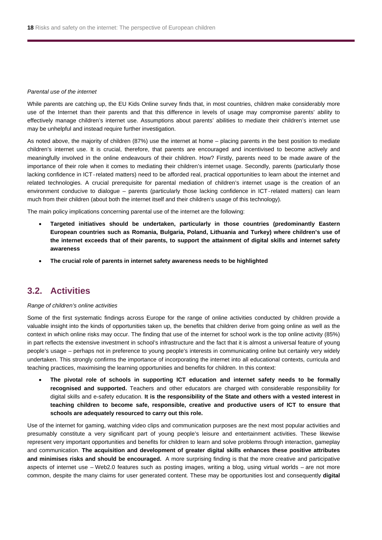#### *Parental use of the internet*

While parents are catching up, the EU Kids Online survey finds that, in most countries, children make considerably more use of the Internet than their parents and that this difference in levels of usage may compromise parents' ability to effectively manage children's internet use. Assumptions about parents' abilities to mediate their children's internet use may be unhelpful and instead require further investigation.

As noted above, the majority of children (87%) use the internet at home – placing parents in the best position to mediate children's internet use. It is crucial, therefore, that parents are encouraged and incentivised to become actively and meaningfully involved in the online endeavours of their children. How? Firstly, parents need to be made aware of the importance of their role when it comes to mediating their children's internet usage. Secondly, parents (particularly those lacking confidence in ICT-related matters) need to be afforded real, practical opportunities to learn about the internet and related technologies. A crucial prerequisite for parental mediation of children's internet usage is the creation of an environment conducive to dialogue – parents (particularly those lacking confidence in ICT-related matters) can learn much from their children (about both the internet itself and their children's usage of this technology).

The main policy implications concerning parental use of the internet are the following:

- **Targeted initiatives should be undertaken, particularly in those countries (predominantly Eastern European countries such as Romania, Bulgaria, Poland, Lithuania and Turkey) where children's use of the internet exceeds that of their parents, to support the attainment of digital skills and internet safety awareness**
- **The crucial role of parents in internet safety awareness needs to be highlighted**

### **3.2. Activities**

#### *Range of children's online activities*

Some of the first systematic findings across Europe for the range of online activities conducted by children provide a valuable insight into the kinds of opportunities taken up, the benefits that children derive from going online as well as the context in which online risks may occur. The finding that use of the internet for school work is the top online activity (85%) in part reflects the extensive investment in school's infrastructure and the fact that it is almost a universal feature of young people's usage – perhaps not in preference to young people's interests in communicating online but certainly very widely undertaken. This strongly confirms the importance of incorporating the internet into all educational contexts, curricula and teaching practices, maximising the learning opportunities and benefits for children. In this context:

 **The pivotal role of schools in supporting ICT education and internet safety needs to be formally recognised and supported.** Teachers and other educators are charged with considerable responsibility for digital skills and e-safety education. **It is the responsibility of the State and others with a vested interest in teaching children to become safe, responsible, creative and productive users of ICT to ensure that schools are adequately resourced to carry out this role.**

Use of the internet for gaming, watching video clips and communication purposes are the next most popular activities and presumably constitute a very significant part of young people's leisure and entertainment activities. These likewise represent very important opportunities and benefits for children to learn and solve problems through interaction, gameplay and communication. **The acquisition and development of greater digital skills enhances these positive attributes and minimises risks and should be encouraged.** A more surprising finding is that the more creative and participative aspects of internet use – Web2.0 features such as posting images, writing a blog, using virtual worlds – are not more common, despite the many claims for user generated content. These may be opportunities lost and consequently **digital**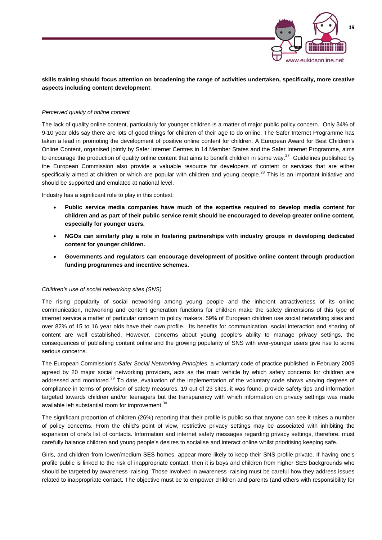

### **skills training should focus attention on broadening the range of activities undertaken, specifically, more creative aspects including content development**.

### *Perceived quality of online content*

The lack of quality online content, particularly for younger children is a matter of major public policy concern. Only 34% of 9-10 year olds say there are lots of good things for children of their age to do online. The Safer Internet Programme has taken a lead in promoting the development of positive online content for children. A European Award for Best Children's Online Content, organised jointly by Safer Internet Centres in 14 Member States and the Safer Internet Programme, aims to encourage the production of quality online content that aims to benefit children in some way.<sup>27</sup> Guidelines published by the European Commission also provide a valuable resource for developers of content or services that are either specifically aimed at children or which are popular with children and young people.<sup>28</sup> This is an important initiative and should be supported and emulated at national level.

Industry has a significant role to play in this context:

- **Public service media companies have much of the expertise required to develop media content for children and as part of their public service remit should be encouraged to develop greater online content, especially for younger users.**
- **NGOs can similarly play a role in fostering partnerships with industry groups in developing dedicated content for younger children.**
- **Governments and regulators can encourage development of positive online content through production funding programmes and incentive schemes.**

#### *Children's use of social networking sites (SNS)*

The rising popularity of social networking among young people and the inherent attractiveness of its online communication, networking and content generation functions for children make the safety dimensions of this type of internet service a matter of particular concern to policy makers. 59% of European children use social networking sites and over 82% of 15 to 16 year olds have their own profile. Its benefits for communication, social interaction and sharing of content are well established. However, concerns about young people's ability to manage privacy settings, the consequences of publishing content online and the growing popularity of SNS with ever-younger users give rise to some serious concerns.

The European Commission's *Safer Social Networking Principles*, a voluntary code of practice published in February 2009 agreed by 20 major social networking providers, acts as the main vehicle by which safety concerns for children are addressed and monitored.<sup>29</sup> To date, evaluation of the implementation of the voluntary code shows varying degrees of compliance in terms of provision of safety measures. 19 out of 23 sites, it was found, provide safety tips and information targeted towards children and/or teenagers but the transparency with which information on privacy settings was made available left substantial room for improvement.<sup>30</sup>

The significant proportion of children (26%) reporting that their profile is public so that anyone can see it raises a number of policy concerns. From the child's point of view, restrictive privacy settings may be associated with inhibiting the expansion of one's list of contacts. Information and internet safety messages regarding privacy settings, therefore, must carefully balance children and young people's desires to socialise and interact online whilst prioritising keeping safe.

Girls, and children from lower/medium SES homes, appear more likely to keep their SNS profile private. If having one's profile public is linked to the risk of inappropriate contact, then it is boys and children from higher SES backgrounds who should be targeted by awareness-raising. Those involved in awareness-raising must be careful how they address issues related to inappropriate contact. The objective must be to empower children and parents (and others with responsibility for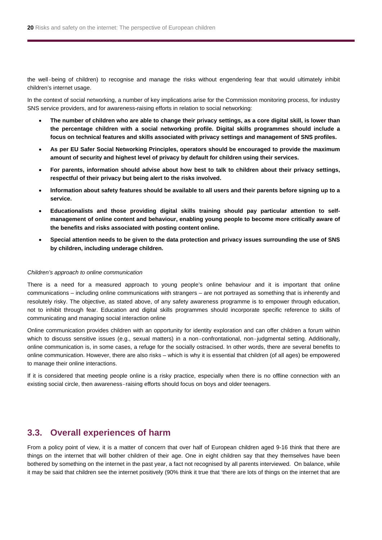the well-being of children) to recognise and manage the risks without engendering fear that would ultimately inhibit children's internet usage.

In the context of social networking, a number of key implications arise for the Commission monitoring process, for industry SNS service providers, and for awareness-raising efforts in relation to social networking:

- **The number of children who are able to change their privacy settings, as a core digital skill, is lower than the percentage children with a social networking profile. Digital skills programmes should include a focus on technical features and skills associated with privacy settings and management of SNS profiles.**
- **As per EU Safer Social Networking Principles, operators should be encouraged to provide the maximum amount of security and highest level of privacy by default for children using their services.**
- **For parents, information should advise about how best to talk to children about their privacy settings, respectful of their privacy but being alert to the risks involved.**
- **Information about safety features should be available to all users and their parents before signing up to a service.**
- **Educationalists and those providing digital skills training should pay particular attention to selfmanagement of online content and behaviour, enabling young people to become more critically aware of the benefits and risks associated with posting content online.**
- **Special attention needs to be given to the data protection and privacy issues surrounding the use of SNS by children, including underage children.**

#### *Children's approach to online communication*

There is a need for a measured approach to young people's online behaviour and it is important that online communications – including online communications with strangers – are not portrayed as something that is inherently and resolutely risky. The objective, as stated above, of any safety awareness programme is to empower through education, not to inhibit through fear. Education and digital skills programmes should incorporate specific reference to skills of communicating and managing social interaction online

Online communication provides children with an opportunity for identity exploration and can offer children a forum within which to discuss sensitive issues (e.g., sexual matters) in a non-confrontational, non-judgmental setting. Additionally, online communication is, in some cases, a refuge for the socially ostracised. In other words, there are several benefits to online communication. However, there are also risks – which is why it is essential that children (of all ages) be empowered to manage their online interactions.

If it is considered that meeting people online is a risky practice, especially when there is no offline connection with an existing social circle, then awareness-raising efforts should focus on boys and older teenagers.

### **3.3. Overall experiences of harm**

From a policy point of view, it is a matter of concern that over half of European children aged 9-16 think that there are things on the internet that will bother children of their age. One in eight children say that they themselves have been bothered by something on the internet in the past year, a fact not recognised by all parents interviewed. On balance, while it may be said that children see the internet positively (90% think it true that 'there are lots of things on the internet that are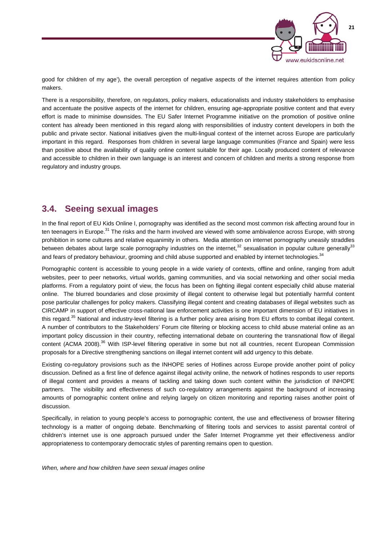

good for children of my age'), the overall perception of negative aspects of the internet requires attention from policy makers.

There is a responsibility, therefore, on regulators, policy makers, educationalists and industry stakeholders to emphasise and accentuate the positive aspects of the internet for children, ensuring age-appropriate positive content and that every effort is made to minimise downsides. The EU Safer Internet Programme initiative on the promotion of positive online content has already been mentioned in this regard along with responsibilities of industry content developers in both the public and private sector. National initiatives given the multi-lingual context of the internet across Europe are particularly important in this regard. Responses from children in several large language communities (France and Spain) were less than positive about the availability of quality online content suitable for their age. Locally produced content of relevance and accessible to children in their own language is an interest and concern of children and merits a strong response from regulatory and industry groups.

### **3.4. Seeing sexual images**

In the final report of EU Kids Online I, pornography was identified as the second most common risk affecting around four in ten teenagers in Europe.<sup>31</sup> The risks and the harm involved are viewed with some ambivalence across Europe, with strong prohibition in some cultures and relative equanimity in others. Media attention on internet pornography uneasily straddles between debates about large scale pornography industries on the internet,<sup>32</sup> sexualisation in popular culture generally<sup>33</sup> and fears of predatory behaviour, grooming and child abuse supported and enabled by internet technologies.<sup>34</sup>

Pornographic content is accessible to young people in a wide variety of contexts, offline and online, ranging from adult websites, peer to peer networks, virtual worlds, gaming communities, and via social networking and other social media platforms. From a regulatory point of view, the focus has been on fighting illegal content especially child abuse material online. The blurred boundaries and close proximity of illegal content to otherwise legal but potentially harmful content pose particular challenges for policy makers. Classifying illegal content and creating databases of illegal websites such as CIRCAMP in support of effective cross-national law enforcement activities is one important dimension of EU initiatives in this regard.<sup>35</sup> National and industry-level filtering is a further policy area arising from EU efforts to combat illegal content. A number of contributors to the Stakeholders' Forum cite filtering or blocking access to child abuse material online as an important policy discussion in their country, reflecting international debate on countering the transnational flow of illegal content (ACMA 2008).<sup>36</sup> With ISP-level filtering operative in some but not all countries, recent European Commission proposals for a Directive strengthening sanctions on illegal internet content will add urgency to this debate.

Existing co-regulatory provisions such as the INHOPE series of Hotlines across Europe provide another point of policy discussion. Defined as a first line of defence against illegal activity online, the network of hotlines responds to user reports of illegal content and provides a means of tackling and taking down such content within the jurisdiction of INHOPE partners. The visibility and effectiveness of such co-regulatory arrangements against the background of increasing amounts of pornographic content online and relying largely on citizen monitoring and reporting raises another point of discussion.

Specifically, in relation to young people's access to pornographic content, the use and effectiveness of browser filtering technology is a matter of ongoing debate. Benchmarking of filtering tools and services to assist parental control of children's internet use is one approach pursued under the Safer Internet Programme yet their effectiveness and/or appropriateness to contemporary democratic styles of parenting remains open to question.

*When, where and how children have seen sexual images online*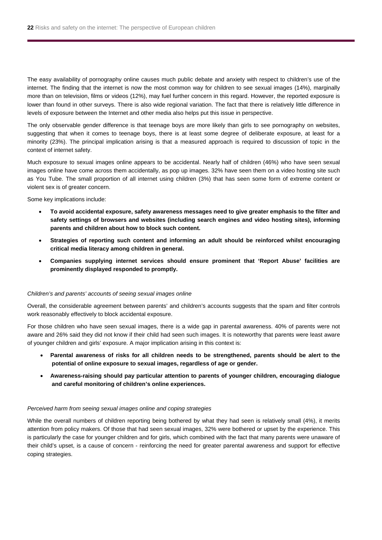The easy availability of pornography online causes much public debate and anxiety with respect to children's use of the internet. The finding that the internet is now the most common way for children to see sexual images (14%), marginally more than on television, films or videos (12%), may fuel further concern in this regard. However, the reported exposure is lower than found in other surveys. There is also wide regional variation. The fact that there is relatively little difference in levels of exposure between the Internet and other media also helps put this issue in perspective.

The only observable gender difference is that teenage boys are more likely than girls to see pornography on websites, suggesting that when it comes to teenage boys, there is at least some degree of deliberate exposure, at least for a minority (23%). The principal implication arising is that a measured approach is required to discussion of topic in the context of internet safety.

Much exposure to sexual images online appears to be accidental. Nearly half of children (46%) who have seen sexual images online have come across them accidentally, as pop up images. 32% have seen them on a video hosting site such as You Tube. The small proportion of all internet using children (3%) that has seen some form of extreme content or violent sex is of greater concern.

Some key implications include:

- **To avoid accidental exposure, safety awareness messages need to give greater emphasis to the filter and safety settings of browsers and websites (including search engines and video hosting sites), informing parents and children about how to block such content.**
- **Strategies of reporting such content and informing an adult should be reinforced whilst encouraging critical media literacy among children in general.**
- **Companies supplying internet services should ensure prominent that 'Report Abuse' facilities are prominently displayed responded to promptly.**

#### *Children's and parents' accounts of seeing sexual images online*

Overall, the considerable agreement between parents' and children's accounts suggests that the spam and filter controls work reasonably effectively to block accidental exposure.

For those children who have seen sexual images, there is a wide gap in parental awareness. 40% of parents were not aware and 26% said they did not know if their child had seen such images. It is noteworthy that parents were least aware of younger children and girls' exposure. A major implication arising in this context is:

- **Parental awareness of risks for all children needs to be strengthened, parents should be alert to the potential of online exposure to sexual images, regardless of age or gender.**
- **Awareness-raising should pay particular attention to parents of younger children, encouraging dialogue and careful monitoring of children's online experiences.**

#### *Perceived harm from seeing sexual images online and coping strategies*

While the overall numbers of children reporting being bothered by what they had seen is relatively small (4%), it merits attention from policy makers. Of those that had seen sexual images, 32% were bothered or upset by the experience. This is particularly the case for younger children and for girls, which combined with the fact that many parents were unaware of their child's upset, is a cause of concern - reinforcing the need for greater parental awareness and support for effective coping strategies.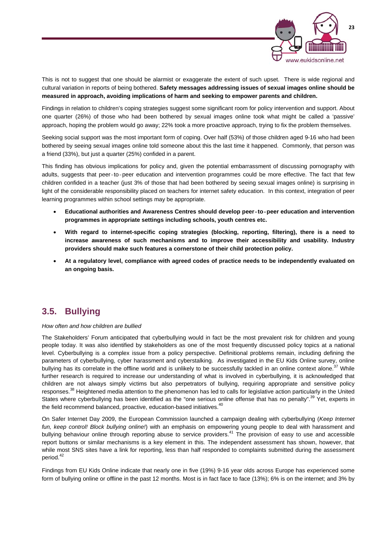

This is not to suggest that one should be alarmist or exaggerate the extent of such upset. There is wide regional and cultural variation in reports of being bothered. **Safety messages addressing issues of sexual images online should be measured in approach, avoiding implications of harm and seeking to empower parents and children.** 

Findings in relation to children's coping strategies suggest some significant room for policy intervention and support. About one quarter (26%) of those who had been bothered by sexual images online took what might be called a 'passive' approach, hoping the problem would go away; 22% took a more proactive approach, trying to fix the problem themselves.

Seeking social support was the most important form of coping. Over half (53%) of those children aged 9-16 who had been bothered by seeing sexual images online told someone about this the last time it happened. Commonly, that person was a friend (33%), but just a quarter (25%) confided in a parent.

This finding has obvious implications for policy and, given the potential embarrassment of discussing pornography with adults, suggests that peer-to-peer education and intervention programmes could be more effective. The fact that few children confided in a teacher (just 3% of those that had been bothered by seeing sexual images online) is surprising in light of the considerable responsibility placed on teachers for internet safety education. In this context, integration of peer learning programmes within school settings may be appropriate.

- **Educational authorities and Awareness Centres should develop peer-to-peer education and intervention programmes in appropriate settings including schools, youth centres etc.**
- **With regard to internet-specific coping strategies (blocking, reporting, filtering), there is a need to increase awareness of such mechanisms and to improve their accessibility and usability. Industry providers should make such features a cornerstone of their child protection policy.**
- **At a regulatory level, compliance with agreed codes of practice needs to be independently evaluated on an ongoing basis.**

### **3.5. Bullying**

### *How often and how children are bullied*

The Stakeholders' Forum anticipated that cyberbullying would in fact be the most prevalent risk for children and young people today. It was also identified by stakeholders as one of the most frequently discussed policy topics at a national level. Cyberbullying is a complex issue from a policy perspective. Definitional problems remain, including defining the parameters of cyberbullying, cyber harassment and cyberstalking. As investigated in the EU Kids Online survey, online bullying has its correlate in the offline world and is unlikely to be successfully tackled in an online context alone.<sup>37</sup> While further research is required to increase our understanding of what is involved in cyberbullying, it is acknowledged that children are not always simply victims but also perpetrators of bullying, requiring appropriate and sensitive policy responses.<sup>38</sup> Heightened media attention to the phenomenon has led to calls for legislative action particularly in the United States where cyberbullying has been identified as the "one serious online offense that has no penalty".<sup>39</sup> Yet, experts in the field recommend balanced, proactive, education-based initiatives.<sup>40</sup>

On Safer Internet Day 2009, the European Commission launched a campaign dealing with cyberbullying (*Keep Internet fun, keep control! Block bullying online!*) with an emphasis on empowering young people to deal with harassment and bullying behaviour online through reporting abuse to service providers.<sup>41</sup> The provision of easy to use and accessible report buttons or similar mechanisms is a key element in this. The independent assessment has shown, however, that while most SNS sites have a link for reporting, less than half responded to complaints submitted during the assessment period.<sup>42</sup>

Findings from EU Kids Online indicate that nearly one in five (19%) 9-16 year olds across Europe has experienced some form of bullying online or offline in the past 12 months. Most is in fact face to face (13%); 6% is on the internet; and 3% by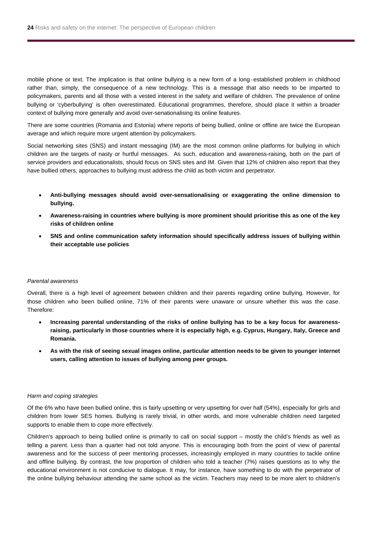mobile phone or text. The implication is that online bullying is a new form of a long-established problem in childhood rather than, simply, the consequence of a new technology. This is a message that also needs to be imparted to policymakers, parents and all those with a vested interest in the safety and welfare of children. The prevalence of online bullying or 'cyberbullying' is often overestimated. Educational programmes, therefore, should place it within a broader context of bullying more generally and avoid over-senationalising its online features.

There are some countries (Romania and Estonia) where reports of being bullied, online or offline are twice the European average and which require more urgent attention by policymakers.

Social networking sites (SNS) and instant messaging (IM) are the most common online platforms for bullying in which children are the targets of nasty or hurtful messages. As such, education and awareness-raising, both on the part of service providers and educationalists, should focus on SNS sites and IM. Given that 12% of children also report that they have bullied others, approaches to bullying must address the child as both victim and perpetrator.

- **Anti-bullying messages should avoid over-sensationalising or exaggerating the online dimension to bullying.**
- **Awareness-raising in countries where bullying is more prominent should prioritise this as one of the key risks of children online**
- **SNS and online communication safety information should specifically address issues of bullying within their acceptable use policies**

#### *Parental awareness*

Overall, there is a high level of agreement between children and their parents regarding online bullying. However, for those children who been bullied online, 71% of their parents were unaware or unsure whether this was the case. Therefore:

- **Increasing parental understanding of the risks of online bullying has to be a key focus for awarenessraising, particularly in those countries where it is especially high, e.g. Cyprus, Hungary, Italy, Greece and Romania.**
- **As with the risk of seeing sexual images online, particular attention needs to be given to younger internet users, calling attention to issues of bullying among peer groups.**

#### *Harm and coping strategies*

Of the 6% who have been bullied online, this is fairly upsetting or very upsetting for over half (54%), especially for girls and children from lower SES homes. Bullying is rarely trivial, in other words, and more vulnerable children need targeted supports to enable them to cope more effectively.

Children's approach to being bullied online is primarily to call on social support – mostly the child's friends as well as telling a parent. Less than a quarter had not told anyone. This is encouraging both from the point of view of parental awareness and for the success of peer mentoring processes, increasingly employed in many countries to tackle online and offline bullying. By contrast, the low proportion of children who told a teacher (7%) raises questions as to why the educational environment is not conducive to dialogue. It may, for instance, have something to do with the perpetrator of the online bullying behaviour attending the same school as the victim. Teachers may need to be more alert to children's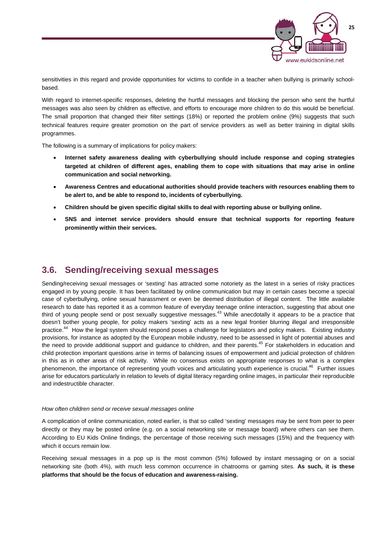

sensitivities in this regard and provide opportunities for victims to confide in a teacher when bullying is primarily schoolbased.

With regard to internet-specific responses, deleting the hurtful messages and blocking the person who sent the hurtful messages was also seen by children as effective, and efforts to encourage more children to do this would be beneficial. The small proportion that changed their filter settings (18%) or reported the problem online (9%) suggests that such technical features require greater promotion on the part of service providers as well as better training in digital skills programmes.

The following is a summary of implications for policy makers:

- **Internet safety awareness dealing with cyberbullying should include response and coping strategies targeted at children of different ages, enabling them to cope with situations that may arise in online communication and social networking.**
- **Awareness Centres and educational authorities should provide teachers with resources enabling them to be alert to, and be able to respond to, incidents of cyberbullying.**
- **Children should be given specific digital skills to deal with reporting abuse or bullying online.**
- **SNS and internet service providers should ensure that technical supports for reporting feature prominently within their services.**

### **3.6. Sending/receiving sexual messages**

Sending/receiving sexual messages or 'sexting' has attracted some notoriety as the latest in a series of risky practices engaged in by young people. It has been facilitated by online communication but may in certain cases become a special case of cyberbullying, online sexual harassment or even be deemed distribution of illegal content. The little available research to date has reported it as a common feature of everyday teenage online interaction, suggesting that about one third of young people send or post sexually suggestive messages.<sup>43</sup> While anecdotally it appears to be a practice that doesn't bother young people, for policy makers 'sexting' acts as a new legal frontier blurring illegal and irresponsible practice.<sup>44</sup> How the legal system should respond poses a challenge for legislators and policy makers. Existing industry provisions, for instance as adopted by the European mobile industry, need to be assessed in light of potential abuses and the need to provide additional support and guidance to children, and their parents.<sup>45</sup> For stakeholders in education and child protection important questions arise in terms of balancing issues of empowerment and judicial protection of children in this as in other areas of risk activity. While no consensus exists on appropriate responses to what is a complex phenomenon, the importance of representing youth voices and articulating youth experience is crucial.<sup>46</sup> Further issues arise for educators particularly in relation to levels of digital literacy regarding online images, in particular their reproducible and indestructible character.

### *How often children send or receive sexual messages online*

A complication of online communication, noted earlier, is that so called 'sexting' messages may be sent from peer to peer directly or they may be posted online (e.g. on a social networking site or message board) where others can see them. According to EU Kids Online findings, the percentage of those receiving such messages (15%) and the frequency with which it occurs remain low.

Receiving sexual messages in a pop up is the most common (5%) followed by instant messaging or on a social networking site (both 4%), with much less common occurrence in chatrooms or gaming sites. **As such, it is these platforms that should be the focus of education and awareness-raising.**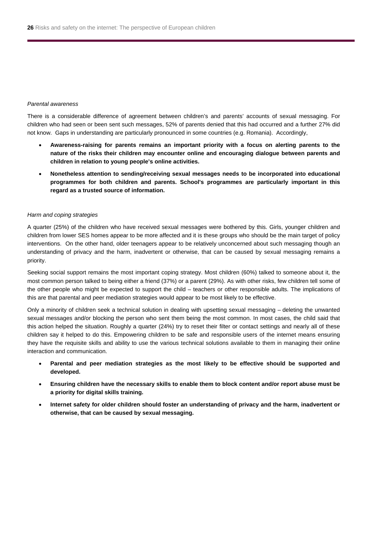#### *Parental awareness*

There is a considerable difference of agreement between children's and parents' accounts of sexual messaging. For children who had seen or been sent such messages, 52% of parents denied that this had occurred and a further 27% did not know. Gaps in understanding are particularly pronounced in some countries (e.g. Romania). Accordingly,

- **Awareness-raising for parents remains an important priority with a focus on alerting parents to the nature of the risks their children may encounter online and encouraging dialogue between parents and children in relation to young people's online activities.**
- **Nonetheless attention to sending/receiving sexual messages needs to be incorporated into educational programmes for both children and parents. School's programmes are particularly important in this regard as a trusted source of information.**

#### *Harm and coping strategies*

A quarter (25%) of the children who have received sexual messages were bothered by this. Girls, younger children and children from lower SES homes appear to be more affected and it is these groups who should be the main target of policy interventions. On the other hand, older teenagers appear to be relatively unconcerned about such messaging though an understanding of privacy and the harm, inadvertent or otherwise, that can be caused by sexual messaging remains a priority.

Seeking social support remains the most important coping strategy. Most children (60%) talked to someone about it, the most common person talked to being either a friend (37%) or a parent (29%). As with other risks, few children tell some of the other people who might be expected to support the child – teachers or other responsible adults. The implications of this are that parental and peer mediation strategies would appear to be most likely to be effective.

Only a minority of children seek a technical solution in dealing with upsetting sexual messaging – deleting the unwanted sexual messages and/or blocking the person who sent them being the most common. In most cases, the child said that this action helped the situation. Roughly a quarter (24%) try to reset their filter or contact settings and nearly all of these children say it helped to do this. Empowering children to be safe and responsible users of the internet means ensuring they have the requisite skills and ability to use the various technical solutions available to them in managing their online interaction and communication.

- **Parental and peer mediation strategies as the most likely to be effective should be supported and developed.**
- **Ensuring children have the necessary skills to enable them to block content and/or report abuse must be a priority for digital skills training.**
- **Internet safety for older children should foster an understanding of privacy and the harm, inadvertent or otherwise, that can be caused by sexual messaging.**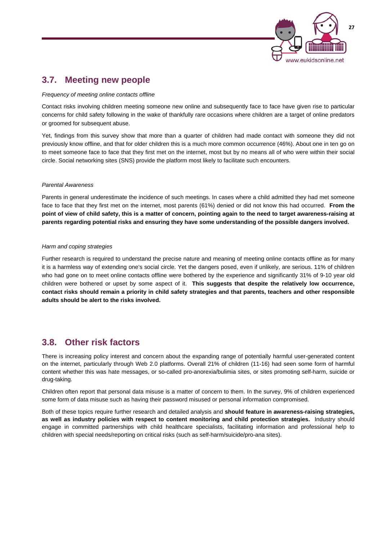

### **3.7. Meeting new people**

*Frequency of meeting online contacts offline* 

Contact risks involving children meeting someone new online and subsequently face to face have given rise to particular concerns for child safety following in the wake of thankfully rare occasions where children are a target of online predators or groomed for subsequent abuse.

Yet, findings from this survey show that more than a quarter of children had made contact with someone they did not previously know offline, and that for older children this is a much more common occurrence (46%). About one in ten go on to meet someone face to face that they first met on the internet, most but by no means all of who were within their social circle. Social networking sites (SNS) provide the platform most likely to facilitate such encounters.

### *Parental Awareness*

Parents in general underestimate the incidence of such meetings. In cases where a child admitted they had met someone face to face that they first met on the internet, most parents (61%) denied or did not know this had occurred. **From the point of view of child safety, this is a matter of concern, pointing again to the need to target awareness-raising at parents regarding potential risks and ensuring they have some understanding of the possible dangers involved.** 

### *Harm and coping strategies*

Further research is required to understand the precise nature and meaning of meeting online contacts offline as for many it is a harmless way of extending one's social circle. Yet the dangers posed, even if unlikely, are serious. 11% of children who had gone on to meet online contacts offline were bothered by the experience and significantly 31% of 9-10 year old children were bothered or upset by some aspect of it. **This suggests that despite the relatively low occurrence, contact risks should remain a priority in child safety strategies and that parents, teachers and other responsible adults should be alert to the risks involved.** 

### **3.8. Other risk factors**

There is increasing policy interest and concern about the expanding range of potentially harmful user-generated content on the internet, particularly through Web 2.0 platforms. Overall 21% of children (11-16) had seen some form of harmful content whether this was hate messages, or so-called pro-anorexia/bulimia sites, or sites promoting self-harm, suicide or drug-taking.

Children often report that personal data misuse is a matter of concern to them. In the survey, 9% of children experienced some form of data misuse such as having their password misused or personal information compromised.

Both of these topics require further research and detailed analysis and **should feature in awareness-raising strategies, as well as industry policies with respect to content monitoring and child protection strategies.** Industry should engage in committed partnerships with child healthcare specialists, facilitating information and professional help to children with special needs/reporting on critical risks (such as self-harm/suicide/pro-ana sites).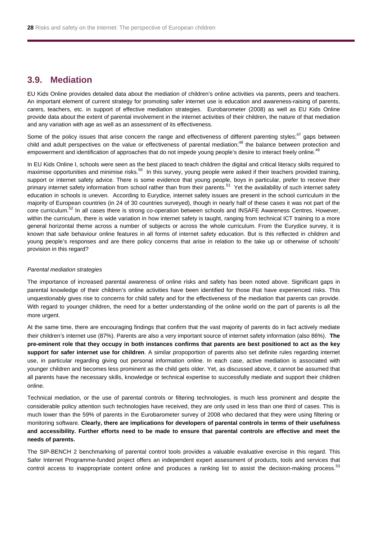### **3.9. Mediation**

EU Kids Online provides detailed data about the mediation of children's online activities via parents, peers and teachers. An important element of current strategy for promoting safer internet use is education and awareness-raising of parents, carers, teachers, etc. in support of effective mediation strategies. Eurobarometer (2008) as well as EU Kids Online provide data about the extent of parental involvement in the internet activities of their children, the nature of that mediation and any variation with age as well as an assessment of its effectiveness.

Some of the policy issues that arise concern the range and effectiveness of different parenting styles; $47$  gaps between child and adult perspectives on the value or effectiveness of parental mediation;<sup>48</sup> the balance between protection and empowerment and identification of approaches that do not impede young people's desire to interact freely online.<sup>49</sup>

In EU Kids Online I, schools were seen as the best placed to teach children the digital and critical literacy skills required to maximise opportunities and minimise risks.<sup>50</sup> In this survey, young people were asked if their teachers provided training, support or internet safety advice. There is some evidence that young people, boys in particular, prefer to receive their primary internet safety information from school rather than from their parents.<sup>51</sup> Yet the availability of such internet safety education in schools is uneven. According to Eurydice, internet safety issues are present in the school curriculum in the majority of European countries (in 24 of 30 countries surveyed), though in nearly half of these cases it was not part of the core curriculum.<sup>52</sup> In all cases there is strong co-operation between schools and INSAFE Awareness Centres. However, within the curriculum, there is wide variation in how internet safety is taught, ranging from technical ICT training to a more general horizontal theme across a number of subjects or across the whole curriculum. From the Eurydice survey, it is known that safe behaviour online features in all forms of internet safety education. But is this reflected in children and young people's responses and are there policy concerns that arise in relation to the take up or otherwise of schools' provision in this regard?

#### *Parental mediation strategies*

The importance of increased parental awareness of online risks and safety has been noted above. Significant gaps in parental knowledge of their children's online activities have been identified for those that have experienced risks. This unquestionably gives rise to concerns for child safety and for the effectiveness of the mediation that parents can provide. With regard to younger children, the need for a better understanding of the online world on the part of parents is all the more urgent.

At the same time, there are encouraging findings that confirm that the vast majority of parents do in fact actively mediate their children's internet use (87%). Parents are also a very important source of internet safety information (also 86%). **The pre-eminent role that they occupy in both instances confirms that parents are best positioned to act as the key support for safer internet use for children**. A similar propoportion of parents also set definite rules regarding internet use, in particular regarding giving out personal information online. In each case, active mediation is associated with younger children and becomes less prominent as the child gets older. Yet, as discussed above, it cannot be assumed that all parents have the necessary skills, knowledge or technical expertise to successfully mediate and support their children online.

Technical mediation, or the use of parental controls or filtering technologies, is much less prominent and despite the considerable policy attention such technologies have received, they are only used in less than one third of cases. This is much lower than the 59% of parents in the Eurobarometer survey of 2008 who declared that they were using filtering or monitoring software. **Clearly, there are implications for developers of parental controls in terms of their usefulness and accessibility. Further efforts need to be made to ensure that parental controls are effective and meet the needs of parents.**

The SIP-BENCH 2 benchmarking of parental control tools provides a valuable evaluative exercise in this regard. This Safer Internet Programme-funded project offers an independent expert assessment of products, tools and services that control access to inappropriate content online and produces a ranking list to assist the decision-making process.<sup>53</sup>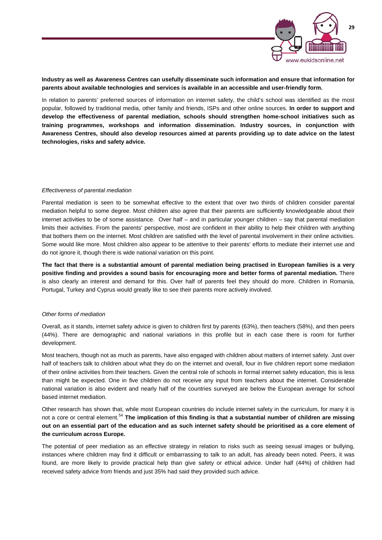

### **Industry as well as Awareness Centres can usefully disseminate such information and ensure that information for parents about available technologies and services is available in an accessible and user-friendly form.**

In relation to parents' preferred sources of information on internet safety, the child's school was identified as the most popular, followed by traditional media, other family and friends, ISPs and other online sources. **In order to support and develop the effectiveness of parental mediation, schools should strengthen home-school initiatives such as training programmes, workshops and information dissemination. Industry sources, in conjunction with Awareness Centres, should also develop resources aimed at parents providing up to date advice on the latest technologies, risks and safety advice.** 

### *Effectiveness of parental mediation*

Parental mediation is seen to be somewhat effective to the extent that over two thirds of children consider parental mediation helpful to some degree. Most children also agree that their parents are sufficiently knowledgeable about their internet activities to be of some assistance. Over half – and in particular younger children – say that parental mediation limits their activities. From the parents' perspective, most are confident in their ability to help their children with anything that bothers them on the internet. Most children are satisfied with the level of parental involvement in their online activities. Some would like more. Most children also appear to be attentive to their parents' efforts to mediate their internet use and do not ignore it, though there is wide national variation on this point.

**The fact that there is a substantial amount of parental mediation being practised in European families is a very positive finding and provides a sound basis for encouraging more and better forms of parental mediation.** There is also clearly an interest and demand for this. Over half of parents feel they should do more. Children in Romania, Portugal, Turkey and Cyprus would greatly like to see their parents more actively involved.

#### *Other forms of mediation*

Overall, as it stands, internet safety advice is given to children first by parents (63%), then teachers (58%), and then peers (44%). There are demographic and national variations in this profile but in each case there is room for further development.

Most teachers, though not as much as parents, have also engaged with children about matters of internet safety. Just over half of teachers talk to children about what they do on the internet and overall, four in five children report some mediation of their online activities from their teachers. Given the central role of schools in formal internet safety education, this is less than might be expected. One in five children do not receive any input from teachers about the internet. Considerable national variation is also evident and nearly half of the countries surveyed are below the European average for school based internet mediation.

Other research has shown that, while most European countries do include internet safety in the curriculum, for many it is not a core or central element.<sup>54</sup> **The implication of this finding is that a substantial number of children are missing out on an essential part of the education and as such internet safety should be prioritised as a core element of the curriculum across Europe.**

The potential of peer mediation as an effective strategy in relation to risks such as seeing sexual images or bullying, instances where children may find it difficult or embarrassing to talk to an adult, has already been noted. Peers, it was found, are more likely to provide practical help than give safety or ethical advice. Under half (44%) of children had received safety advice from friends and just 35% had said they provided such advice.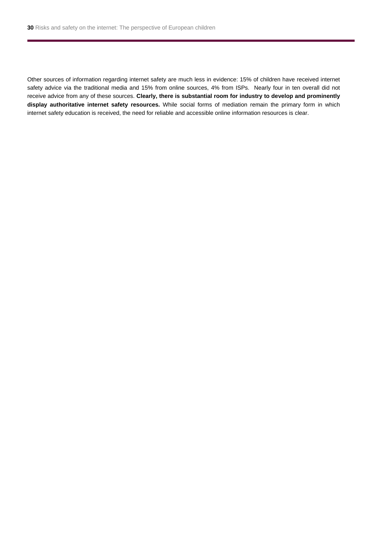Other sources of information regarding internet safety are much less in evidence: 15% of children have received internet safety advice via the traditional media and 15% from online sources, 4% from ISPs. Nearly four in ten overall did not receive advice from any of these sources. **Clearly, there is substantial room for industry to develop and prominently display authoritative internet safety resources.** While social forms of mediation remain the primary form in which internet safety education is received, the need for reliable and accessible online information resources is clear.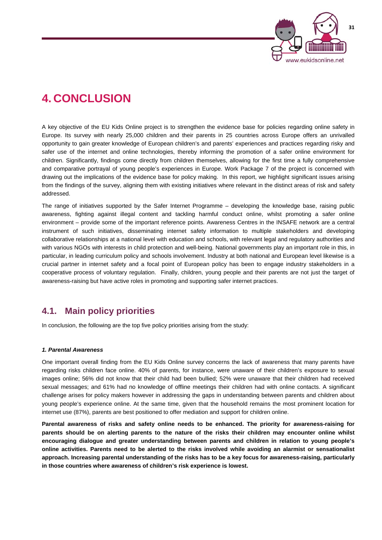

## **4. CONCLUSION**

A key objective of the EU Kids Online project is to strengthen the evidence base for policies regarding online safety in Europe. Its survey with nearly 25,000 children and their parents in 25 countries across Europe offers an unrivalled opportunity to gain greater knowledge of European children's and parents' experiences and practices regarding risky and safer use of the internet and online technologies, thereby informing the promotion of a safer online environment for children. Significantly, findings come directly from children themselves, allowing for the first time a fully comprehensive and comparative portrayal of young people's experiences in Europe. Work Package 7 of the project is concerned with drawing out the implications of the evidence base for policy making. In this report, we highlight significant issues arising from the findings of the survey, aligning them with existing initiatives where relevant in the distinct areas of risk and safety addressed.

The range of initiatives supported by the Safer Internet Programme – developing the knowledge base, raising public awareness, fighting against illegal content and tackling harmful conduct online, whilst promoting a safer online environment – provide some of the important reference points. Awareness Centres in the INSAFE network are a central instrument of such initiatives, disseminating internet safety information to multiple stakeholders and developing collaborative relationships at a national level with education and schools, with relevant legal and regulatory authorities and with various NGOs with interests in child protection and well-being. National governments play an important role in this, in particular, in leading curriculum policy and schools involvement. Industry at both national and European level likewise is a crucial partner in internet safety and a focal point of European policy has been to engage industry stakeholders in a cooperative process of voluntary regulation. Finally, children, young people and their parents are not just the target of awareness-raising but have active roles in promoting and supporting safer internet practices.

### **4.1. Main policy priorities**

In conclusion, the following are the top five policy priorities arising from the study:

### *1. Parental Awareness*

One important overall finding from the EU Kids Online survey concerns the lack of awareness that many parents have regarding risks children face online. 40% of parents, for instance, were unaware of their children's exposure to sexual images online; 56% did not know that their child had been bullied; 52% were unaware that their children had received sexual messages; and 61% had no knowledge of offline meetings their children had with online contacts. A significant challenge arises for policy makers however in addressing the gaps in understanding between parents and children about young people's experience online. At the same time, given that the household remains the most prominent location for internet use (87%), parents are best positioned to offer mediation and support for children online.

**Parental awareness of risks and safety online needs to be enhanced. The priority for awareness-raising for parents should be on alerting parents to the nature of the risks their children may encounter online whilst encouraging dialogue and greater understanding between parents and children in relation to young people's online activities. Parents need to be alerted to the risks involved while avoiding an alarmist or sensationalist approach. Increasing parental understanding of the risks has to be a key focus for awareness-raising, particularly in those countries where awareness of children's risk experience is lowest.**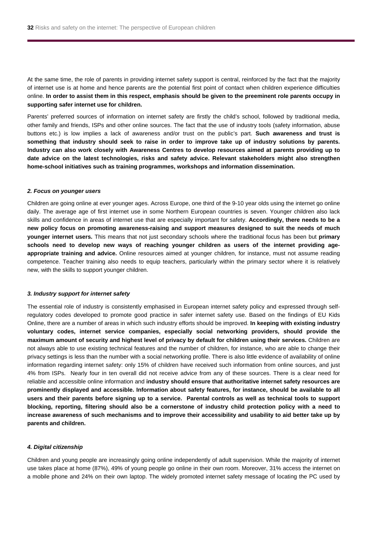At the same time, the role of parents in providing internet safety support is central, reinforced by the fact that the majority of internet use is at home and hence parents are the potential first point of contact when children experience difficulties online. **In order to assist them in this respect, emphasis should be given to the preeminent role parents occupy in supporting safer internet use for children.** 

Parents' preferred sources of information on internet safety are firstly the child's school, followed by traditional media, other family and friends, ISPs and other online sources. The fact that the use of industry tools (safety information, abuse buttons etc.) is low implies a lack of awareness and/or trust on the public's part. **Such awareness and trust is something that industry should seek to raise in order to improve take up of industry solutions by parents. Industry can also work closely with Awareness Centres to develop resources aimed at parents providing up to date advice on the latest technologies, risks and safety advice. Relevant stakeholders might also strengthen home-school initiatives such as training programmes, workshops and information dissemination.** 

#### *2. Focus on younger users*

Children are going online at ever younger ages. Across Europe, one third of the 9-10 year olds using the internet go online daily. The average age of first internet use in some Northern European countries is seven. Younger children also lack skills and confidence in areas of internet use that are especially important for safety. **Accordingly, there needs to be a new policy focus on promoting awareness-raising and support measures designed to suit the needs of much younger internet users.** This means that not just secondary schools where the traditional focus has been but **primary schools need to develop new ways of reaching younger children as users of the internet providing ageappropriate training and advice.** Online resources aimed at younger children, for instance, must not assume reading competence. Teacher training also needs to equip teachers, particularly within the primary sector where it is relatively new, with the skills to support younger children.

#### *3. Industry support for internet safety*

The essential role of industry is consistently emphasised in European internet safety policy and expressed through selfregulatory codes developed to promote good practice in safer internet safety use. Based on the findings of EU Kids Online, there are a number of areas in which such industry efforts should be improved. **In keeping with existing industry voluntary codes, internet service companies, especially social networking providers, should provide the maximum amount of security and highest level of privacy by default for children using their services.** Children are not always able to use existing technical features and the number of children, for instance, who are able to change their privacy settings is less than the number with a social networking profile. There is also little evidence of availability of online information regarding internet safety: only 15% of children have received such information from online sources, and just 4% from ISPs. Nearly four in ten overall did not receive advice from any of these sources. There is a clear need for reliable and accessible online information and **industry should ensure that authoritative internet safety resources are prominently displayed and accessible. Information about safety features, for instance, should be available to all users and their parents before signing up to a service. Parental controls as well as technical tools to support blocking, reporting, filtering should also be a cornerstone of industry child protection policy with a need to increase awareness of such mechanisms and to improve their accessibility and usability to aid better take up by parents and children.**

### *4. Digital citizenship*

Children and young people are increasingly going online independently of adult supervision. While the majority of internet use takes place at home (87%), 49% of young people go online in their own room. Moreover, 31% access the internet on a mobile phone and 24% on their own laptop. The widely promoted internet safety message of locating the PC used by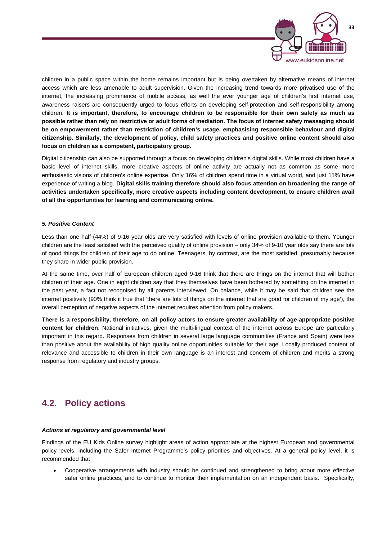

children in a public space within the home remains important but is being overtaken by alternative means of internet access which are less amenable to adult supervision. Given the increasing trend towards more privatised use of the internet, the increasing prominence of mobile access, as well the ever younger age of children's first internet use, awareness raisers are consequently urged to focus efforts on developing self-protection and self-responsibility among children. **It is important, therefore, to encourage children to be responsible for their own safety as much as possible rather than rely on restrictive or adult forms of mediation. The focus of internet safety messaging should be on empowerment rather than restriction of children's usage, emphasising responsible behaviour and digital citizenship. Similarly, the development of policy, child safety practices and positive online content should also focus on children as a competent, participatory group.** 

Digital citizenship can also be supported through a focus on developing children's digital skills. While most children have a basic level of internet skills, more creative aspects of online activity are actually not as common as some more enthusiastic visions of children's online expertise. Only 16% of children spend time in a virtual world, and just 11% have experience of writing a blog. **Digital skills training therefore should also focus attention on broadening the range of activities undertaken specifically, more creative aspects including content development, to ensure children avail of all the opportunities for learning and communicating online.** 

### *5. Positive Content*

Less than one half (44%) of 9-16 year olds are very satisfied with levels of online provision available to them. Younger children are the least satisfied with the perceived quality of online provision – only 34% of 9-10 year olds say there are lots of good things for children of their age to do online. Teenagers, by contrast, are the most satisfied, presumably because they share in wider public provision.

At the same time, over half of European children aged 9-16 think that there are things on the internet that will bother children of their age. One in eight children say that they themselves have been bothered by something on the internet in the past year, a fact not recognised by all parents interviewed. On balance, while it may be said that children see the internet positively (90% think it true that 'there are lots of things on the internet that are good for children of my age'), the overall perception of negative aspects of the internet requires attention from policy makers.

**There is a responsibility, therefore, on all policy actors to ensure greater availability of age-appropriate positive content for children**. National initiatives, given the multi-lingual context of the internet across Europe are particularly important in this regard. Responses from children in several large language communities (France and Spain) were less than positive about the availability of high quality online opportunities suitable for their age. Locally produced content of relevance and accessible to children in their own language is an interest and concern of children and merits a strong response from regulatory and industry groups.

### **4.2. Policy actions**

#### *Actions at regulatory and governmental level*

Findings of the EU Kids Online survey highlight areas of action appropriate at the highest European and governmental policy levels, including the Safer Internet Programme's policy priorities and objectives. At a general policy level, it is recommended that

 Cooperative arrangements with industry should be continued and strengthened to bring about more effective safer online practices, and to continue to monitor their implementation on an independent basis. Specifically,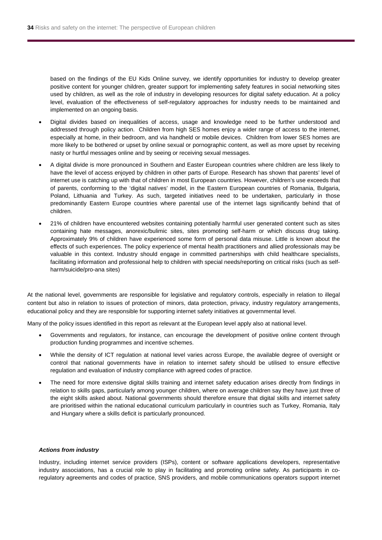based on the findings of the EU Kids Online survey, we identify opportunities for industry to develop greater positive content for younger children, greater support for implementing safety features in social networking sites used by children, as well as the role of industry in developing resources for digital safety education. At a policy level, evaluation of the effectiveness of self-regulatory approaches for industry needs to be maintained and implemented on an ongoing basis.

- Digital divides based on inequalities of access, usage and knowledge need to be further understood and addressed through policy action. Children from high SES homes enjoy a wider range of access to the internet, especially at home, in their bedroom, and via handheld or mobile devices. Children from lower SES homes are more likely to be bothered or upset by online sexual or pornographic content, as well as more upset by receiving nasty or hurtful messages online and by seeing or receiving sexual messages.
- A digital divide is more pronounced in Southern and Easter European countries where children are less likely to have the level of access enjoyed by children in other parts of Europe. Research has shown that parents' level of internet use is catching up with that of children in most European countries. However, children's use exceeds that of parents, conforming to the 'digital natives' model, in the Eastern European countries of Romania, Bulgaria, Poland, Lithuania and Turkey. As such, targeted initiatives need to be undertaken, particularly in those predominantly Eastern Europe countries where parental use of the internet lags significantly behind that of children.
- 21% of children have encountered websites containing potentially harmful user generated content such as sites containing hate messages, anorexic/bulimic sites, sites promoting self-harm or which discuss drug taking. Approximately 9% of children have experienced some form of personal data misuse. Little is known about the effects of such experiences. The policy experience of mental health practitioners and allied professionals may be valuable in this context. Industry should engage in committed partnerships with child healthcare specialists, facilitating information and professional help to children with special needs/reporting on critical risks (such as selfharm/suicide/pro-ana sites)

At the national level, governments are responsible for legislative and regulatory controls, especially in relation to illegal content but also in relation to issues of protection of minors, data protection, privacy, industry regulatory arrangements, educational policy and they are responsible for supporting internet safety initiatives at governmental level.

Many of the policy issues identified in this report as relevant at the European level apply also at national level.

- Governments and regulators, for instance, can encourage the development of positive online content through production funding programmes and incentive schemes.
- While the density of ICT regulation at national level varies across Europe, the available degree of oversight or control that national governments have in relation to internet safety should be utilised to ensure effective regulation and evaluation of industry compliance with agreed codes of practice.
- The need for more extensive digital skills training and internet safety education arises directly from findings in relation to skills gaps, particularly among younger children, where on average children say they have just three of the eight skills asked about. National governments should therefore ensure that digital skills and internet safety are prioritised within the national educational curriculum particularly in countries such as Turkey, Romania, Italy and Hungary where a skills deficit is particularly pronounced.

#### *Actions from industry*

Industry, including internet service providers (ISPs), content or software applications developers, representative industry associations, has a crucial role to play in facilitating and promoting online safety. As participants in coregulatory agreements and codes of practice, SNS providers, and mobile communications operators support internet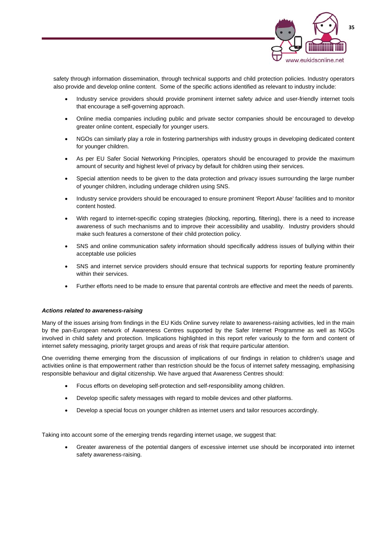

safety through information dissemination, through technical supports and child protection policies. Industry operators also provide and develop online content. Some of the specific actions identified as relevant to industry include:

- Industry service providers should provide prominent internet safety advice and user-friendly internet tools that encourage a self-governing approach.
- Online media companies including public and private sector companies should be encouraged to develop greater online content, especially for younger users.
- NGOs can similarly play a role in fostering partnerships with industry groups in developing dedicated content for younger children.
- As per EU Safer Social Networking Principles, operators should be encouraged to provide the maximum amount of security and highest level of privacy by default for children using their services.
- Special attention needs to be given to the data protection and privacy issues surrounding the large number of younger children, including underage children using SNS.
- Industry service providers should be encouraged to ensure prominent 'Report Abuse' facilities and to monitor content hosted.
- With regard to internet-specific coping strategies (blocking, reporting, filtering), there is a need to increase awareness of such mechanisms and to improve their accessibility and usability. Industry providers should make such features a cornerstone of their child protection policy.
- SNS and online communication safety information should specifically address issues of bullying within their acceptable use policies
- SNS and internet service providers should ensure that technical supports for reporting feature prominently within their services.
- Further efforts need to be made to ensure that parental controls are effective and meet the needs of parents.

### *Actions related to awareness-raising*

Many of the issues arising from findings in the EU Kids Online survey relate to awareness-raising activities, led in the main by the pan-European network of Awareness Centres supported by the Safer Internet Programme as well as NGOs involved in child safety and protection. Implications highlighted in this report refer variously to the form and content of internet safety messaging, priority target groups and areas of risk that require particular attention.

One overriding theme emerging from the discussion of implications of our findings in relation to children's usage and activities online is that empowerment rather than restriction should be the focus of internet safety messaging, emphasising responsible behaviour and digital citizenship. We have argued that Awareness Centres should:

- Focus efforts on developing self-protection and self-responsibility among children.
- Develop specific safety messages with regard to mobile devices and other platforms.
- Develop a special focus on younger children as internet users and tailor resources accordingly.

Taking into account some of the emerging trends regarding internet usage, we suggest that:

 Greater awareness of the potential dangers of excessive internet use should be incorporated into internet safety awareness-raising.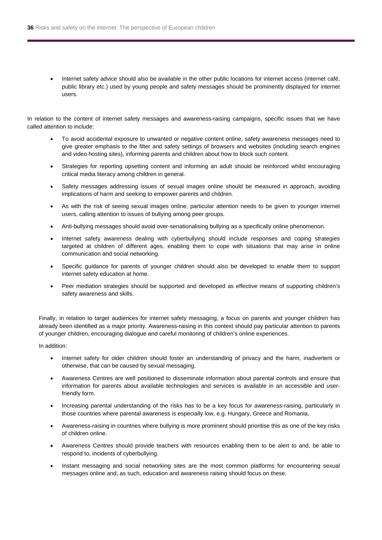Internet safety advice should also be available in the other public locations for internet access (internet café, public library etc.) used by young people and safety messages should be prominently displayed for internet users.

In relation to the content of internet safety messages and awareness-raising campaigns, specific issues that we have called attention to include:

- To avoid accidental exposure to unwanted or negative content online, safety awareness messages need to give greater emphasis to the filter and safety settings of browsers and websites (including search engines and video hosting sites), informing parents and children about how to block such content.
- Strategies for reporting upsetting content and informing an adult should be reinforced whilst encouraging critical media literacy among children in general.
- Safety messages addressing issues of sexual images online should be measured in approach, avoiding implications of harm and seeking to empower parents and children.
- As with the risk of seeing sexual images online, particular attention needs to be given to younger internet users, calling attention to issues of bullying among peer groups.
- Anti-bullying messages should avoid over-senationalising bullying as a specifically online phenomenon.
- Internet safety awareness dealing with cyberbullying should include responses and coping strategies targeted at children of different ages, enabling them to cope with situations that may arise in online communication and social networking.
- Specific guidance for parents of younger children should also be developed to enable them to support internet safety education at home.
- Peer mediation strategies should be supported and developed as effective means of supporting children's safety awareness and skills.

Finally, in relation to target audiences for internet safety messaging, a focus on parents and younger children has already been identified as a major priority. Awareness-raising in this context should pay particular attention to parents of younger children, encouraging dialogue and careful monitoring of children's online experiences.

In addition:

- Internet safety for older children should foster an understanding of privacy and the harm, inadvertent or otherwise, that can be caused by sexual messaging.
- Awareness Centres are well positioned to disseminate information about parental controls and ensure that information for parents about available technologies and services is available in an accessible and userfriendly form.
- Increasing parental understanding of the risks has to be a key focus for awareness-raising, particularly in those countries where parental awareness is especially low, e.g. Hungary, Greece and Romania.
- Awareness-raising in countries where bullying is more prominent should prioritise this as one of the key risks of children online.
- Awareness Centres should provide teachers with resources enabling them to be alert to and, be able to respond to, incidents of cyberbullying.
- Instant messaging and social networking sites are the most common platforms for encountering sexual messages online and, as such, education and awareness raising should focus on these.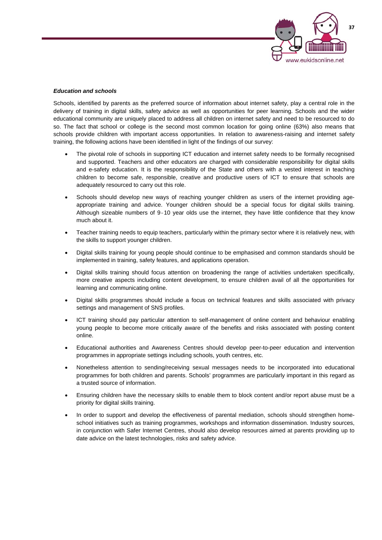

### *Education and schools*

Schools, identified by parents as the preferred source of information about internet safety, play a central role in the delivery of training in digital skills, safety advice as well as opportunities for peer learning. Schools and the wider educational community are uniquely placed to address all children on internet safety and need to be resourced to do so. The fact that school or college is the second most common location for going online (63%) also means that schools provide children with important access opportunities. In relation to awareness-raising and internet safety training, the following actions have been identified in light of the findings of our survey:

- The pivotal role of schools in supporting ICT education and internet safety needs to be formally recognised and supported. Teachers and other educators are charged with considerable responsibility for digital skills and e-safety education. It is the responsibility of the State and others with a vested interest in teaching children to become safe, responsible, creative and productive users of ICT to ensure that schools are adequately resourced to carry out this role.
- Schools should develop new ways of reaching younger children as users of the internet providing ageappropriate training and advice. Younger children should be a special focus for digital skills training. Although sizeable numbers of 9-10 year olds use the internet, they have little confidence that they know much about it.
- Teacher training needs to equip teachers, particularly within the primary sector where it is relatively new, with the skills to support younger children.
- Digital skills training for young people should continue to be emphasised and common standards should be implemented in training, safety features, and applications operation.
- Digital skills training should focus attention on broadening the range of activities undertaken specifically, more creative aspects including content development, to ensure children avail of all the opportunities for learning and communicating online.
- Digital skills programmes should include a focus on technical features and skills associated with privacy settings and management of SNS profiles.
- ICT training should pay particular attention to self-management of online content and behaviour enabling young people to become more critically aware of the benefits and risks associated with posting content online.
- Educational authorities and Awareness Centres should develop peer-to-peer education and intervention programmes in appropriate settings including schools, youth centres, etc.
- Nonetheless attention to sending/receiving sexual messages needs to be incorporated into educational programmes for both children and parents. Schools' programmes are particularly important in this regard as a trusted source of information.
- Ensuring children have the necessary skills to enable them to block content and/or report abuse must be a priority for digital skills training.
- In order to support and develop the effectiveness of parental mediation, schools should strengthen homeschool initiatives such as training programmes, workshops and information dissemination. Industry sources, in conjunction with Safer Internet Centres, should also develop resources aimed at parents providing up to date advice on the latest technologies, risks and safety advice.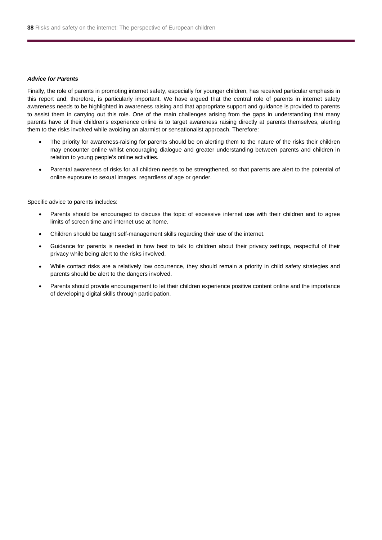#### *Advice for Parents*

Finally, the role of parents in promoting internet safety, especially for younger children, has received particular emphasis in this report and, therefore, is particularly important. We have argued that the central role of parents in internet safety awareness needs to be highlighted in awareness raising and that appropriate support and guidance is provided to parents to assist them in carrying out this role. One of the main challenges arising from the gaps in understanding that many parents have of their children's experience online is to target awareness raising directly at parents themselves, alerting them to the risks involved while avoiding an alarmist or sensationalist approach. Therefore:

- The priority for awareness-raising for parents should be on alerting them to the nature of the risks their children may encounter online whilst encouraging dialogue and greater understanding between parents and children in relation to young people's online activities.
- Parental awareness of risks for all children needs to be strengthened, so that parents are alert to the potential of online exposure to sexual images, regardless of age or gender.

Specific advice to parents includes:

- Parents should be encouraged to discuss the topic of excessive internet use with their children and to agree limits of screen time and internet use at home.
- Children should be taught self-management skills regarding their use of the internet.
- Guidance for parents is needed in how best to talk to children about their privacy settings, respectful of their privacy while being alert to the risks involved.
- While contact risks are a relatively low occurrence, they should remain a priority in child safety strategies and parents should be alert to the dangers involved.
- Parents should provide encouragement to let their children experience positive content online and the importance of developing digital skills through participation.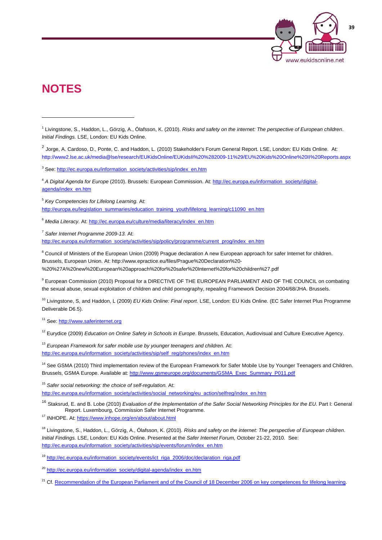

## **NOTES**

 $\overline{a}$ 

<sup>3</sup> See: http://ec.europa.eu/information\_society/activities/sip/index\_en.htm

<sup>4</sup> *A Digital Agenda for Europe* (2010). Brussels: European Commission. At: http://ec.europa.eu/information\_society/digitalagenda/index\_en.htm

<sup>5</sup> *Key Competencies for Lifelong Learning.* At: http://europa.eu/legislation\_summaries/education\_training\_youth/lifelong\_learning/c11090\_en.htm

<sup>6</sup> *Media Literacy.* At: http://ec.europa.eu/culture/media/literacy/index\_en.htm

<sup>7</sup> *Safer Internet Programme 2009-13.* At:

http://ec.europa.eu/information\_society/activities/sip/policy/programme/current\_prog/index\_en.htm

<sup>8</sup> Council of Ministers of the European Union (2009) Prague declaration A new European approach for safer Internet for children. Brussels, European Union. At: http://www.epractice.eu/files/Prague%20Declaration%20- %20%27A%20new%20European%20approach%20for%20safer%20Internet%20for%20children%27.pdf

<sup>9</sup> European Commission (2010) Proposal for a DIRECTIVE OF THE EUROPEAN PARLIAMENT AND OF THE COUNCIL on combating the sexual abuse, sexual exploitation of children and child pornography, repealing Framework Decision 2004/68/JHA. Brussels.

10 Livingstone, S, and Haddon, L (2009) *EU Kids Online: Final report*. LSE, London: EU Kids Online. (EC Safer Internet Plus Programme Deliverable D6.5).

<sup>11</sup> See: http://www.saferinternet.org

<sup>12</sup> Eurydice (2009) *Education on Online Safety in Schools in Europe*. Brussels, Education, Audiovisual and Culture Executive Agency.

<sup>13</sup> European Framework for safer mobile use by younger teenagers and children. At: http://ec.europa.eu/information\_society/activities/sip/self\_reg/phones/index\_en.htm

<sup>14</sup> See GSMA (2010) Third implementation review of the European Framework for Safer Mobile Use by Younger Teenagers and Children. Brussels, GSMA Europe. Available at: http://www.gsmeurope.org/documents/GSMA\_Exec\_Summary\_P011.pdf

<sup>15</sup> *Safer social networking: the choice of self-regulation.* At: http://ec.europa.eu/information\_society/activities/social\_networking/eu\_action/selfreg/index\_en.htm

<sup>16</sup> Staksrud, E. and B. Lobe (2010) *Evaluation of the Implementation of the Safer Social Networking Principles for the EU*. Part I: General Report. Luxembourg, Commission Safer Internet Programme.

<sup>17</sup> INHOPE. At: https://www.inhope.org/en/about/about.html

18 Livingstone, S., Haddon, L., Görzig, A., Ólafsson, K. (2010). *Risks and safety on the internet: The perspective of European children*. *Initial Findings.* LSE, London: EU Kids Online. Presented at the *Safer Internet Forum,* October 21-22, 2010. See: http://ec.europa.eu/information\_society/activities/sip/events/forum/index\_en.htm

<sup>19</sup> http://ec.europa.eu/information\_society/events/ict\_riga\_2006/doc/declaration\_riga.pdf

<sup>20</sup> http://ec.europa.eu/information\_society/digital-agenda/index\_en.htm

<sup>21</sup> Cf. Recommendation of the European Parliament and of the Council of 18 December 2006 on key competences for lifelong learning.

<sup>1</sup> Livingstone, S., Haddon, L., Görzig, A., Ólafsson, K. (2010). *Risks and safety on the internet: The perspective of European children*. *Initial Findings.* LSE, London: EU Kids Online.

 $2$  Jorge, A. Cardoso, D., Ponte, C. and Haddon, L. (2010) Stakeholder's Forum General Report. LSE, London: EU Kids Online. At: http://www2.lse.ac.uk/media@lse/research/EUKidsOnline/EUKidsII%20%282009-11%29/EU%20Kids%20Online%20II%20Reports.aspx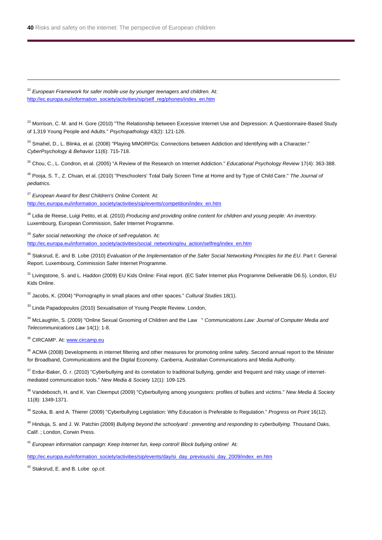<sup>22</sup> European Framework for safer mobile use by younger teenagers and children. At: http://ec.europa.eu/information\_society/activities/sip/self\_reg/phones/index\_en.htm

<sup>23</sup> Morrison, C. M. and H. Gore (2010) "The Relationship between Excessive Internet Use and Depression: A Questionnaire-Based Study of 1,319 Young People and Adults." *Psychopathology* 43(2): 121-126.

<sup>24</sup> Smahel, D., L. Blinka, et al. (2008) "Playing MMORPGs: Connections between Addiction and Identifying with a Character." *CyberPsychology & Behavior* 11(6): 715-718.

25 Chou, C., L. Condron, et al. (2005) "A Review of the Research on Internet Addiction." *Educational Psychology Review* 17(4): 363-388.

26 Pooja, S. T., Z. Chuan, et al. (2010) "Preschoolers' Total Daily Screen Time at Home and by Type of Child Care." *The Journal of pediatrics*.

<sup>27</sup> *European Award for Best Children's Online Content.* At: http://ec.europa.eu/information\_society/activities/sip/events/competition/index\_en.htm

28 Lidia de Reese, Luigi Petito, et al. (2010) *Producing and providing online content for children and young people: An inventory.* Luxembourg, European Commission, Safer Internet Programme.

<sup>29</sup> *Safer social networking: the choice of self-regulation.* At: http://ec.europa.eu/information\_society/activities/social\_networking/eu\_action/selfreg/index\_en.htm

30 Staksrud, E. and B. Lobe (2010) *Evaluation of the Implementation of the Safer Social Networking Principles for the EU*. Part I: General Report. Luxembourg, Commission Safer Internet Programme.

<sup>31</sup> Livingstone, S. and L. Haddon (2009) EU Kids Online: Final report. (EC Safer Internet plus Programme Deliverable D6.5). London, EU Kids Online.

32 Jacobs, K. (2004) "Pornography in small places and other spaces." *Cultural Studies* 18(1).

<sup>33</sup> Linda Papadopoulos (2010) Sexualisation of Young People Review. London,

34 McLaughlin, S. (2009) "Online Sexual Grooming of Children and the Law " *Communications Law: Journal of Computer Media and Telecommunications Law* 14(1): 1-8.

<sup>35</sup> CIRCAMP. At: www.circamp.eu

l

<sup>36</sup> ACMA (2008) Developments in internet filtering and other measures for promoting online safety. Second annual report to the Minister for Broadband, Communications and the Digital Economy. Canberra, Australian Communications and Media Authority.

<sup>37</sup> Erdur-Baker, Ö. r. (2010) "Cyberbullying and its correlation to traditional bullying, gender and frequent and risky usage of internetmediated communication tools." *New Media & Society* 12(1): 109-125.

38 Vandebosch, H. and K. Van Cleemput (2009) "Cyberbullying among youngsters: profiles of bullies and victims." *New Media & Society* 11(8): 1349-1371.

39 Szoka, B. and A. Thierer (2009) "Cyberbullying Legislation: Why Education is Preferable to Regulation." *Progress on Point* 16(12).

40 Hinduja, S. and J. W. Patchin (2009) *Bullying beyond the schoolyard : preventing and responding to cyberbullying*. Thousand Oaks, Calif. ; London, Corwin Press.

<sup>41</sup> *European information campaign: Keep Internet fun, keep control! Block bullying online!* At:

http://ec.europa.eu/information\_society/activities/sip/events/day/si\_day\_previous/si\_day\_2009/index\_en.htm

42 Staksrud, E. and B. Lobe *op.cit.*